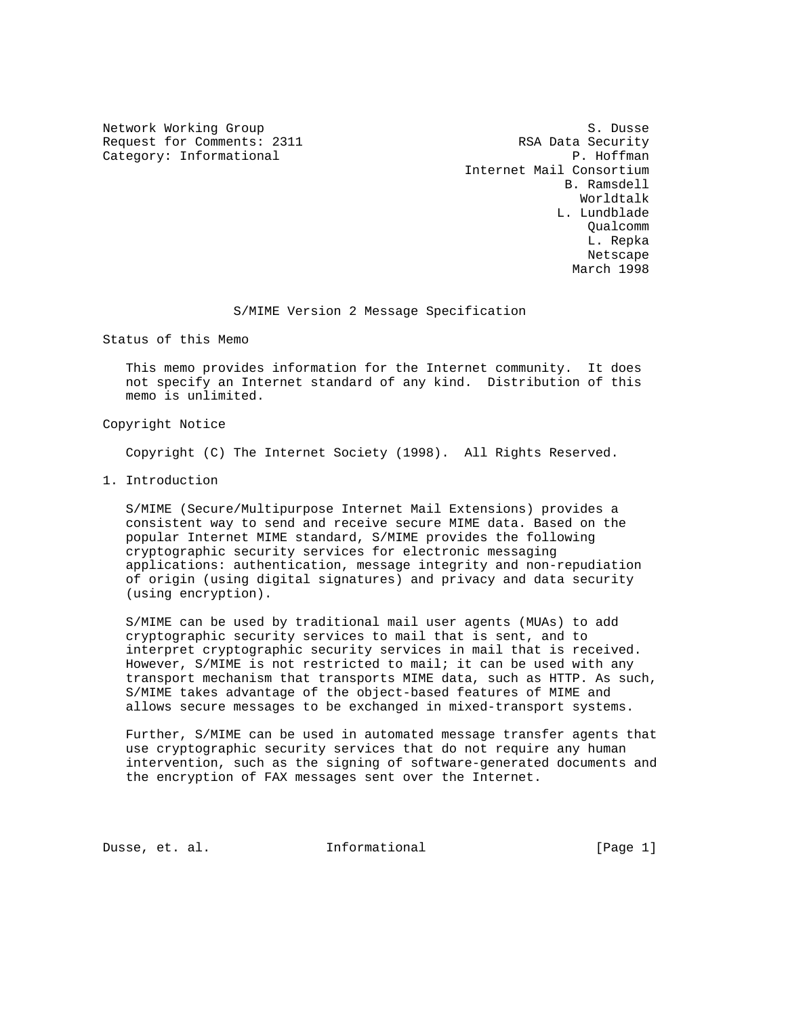Request for Comments: 2311 RSA Data Security<br>
Category: Informational RSA Data Security<br>
P. Hoffman Category: Informational

Network Working Group S. Dusse Internet Mail Consortium B. Ramsdell Worldtalk L. Lundblade Qualcomm L. Repka Netscape and the state of the state of the state of the state of the state of the state of the state of the state of the state of the state of the state of the state of the state of the state of the state of the state of t March 1998

# S/MIME Version 2 Message Specification

Status of this Memo

 This memo provides information for the Internet community. It does not specify an Internet standard of any kind. Distribution of this memo is unlimited.

## Copyright Notice

Copyright (C) The Internet Society (1998). All Rights Reserved.

1. Introduction

 S/MIME (Secure/Multipurpose Internet Mail Extensions) provides a consistent way to send and receive secure MIME data. Based on the popular Internet MIME standard, S/MIME provides the following cryptographic security services for electronic messaging applications: authentication, message integrity and non-repudiation of origin (using digital signatures) and privacy and data security (using encryption).

 S/MIME can be used by traditional mail user agents (MUAs) to add cryptographic security services to mail that is sent, and to interpret cryptographic security services in mail that is received. However, S/MIME is not restricted to mail; it can be used with any transport mechanism that transports MIME data, such as HTTP. As such, S/MIME takes advantage of the object-based features of MIME and allows secure messages to be exchanged in mixed-transport systems.

 Further, S/MIME can be used in automated message transfer agents that use cryptographic security services that do not require any human intervention, such as the signing of software-generated documents and the encryption of FAX messages sent over the Internet.

Dusse, et. al. **Informational** [Page 1]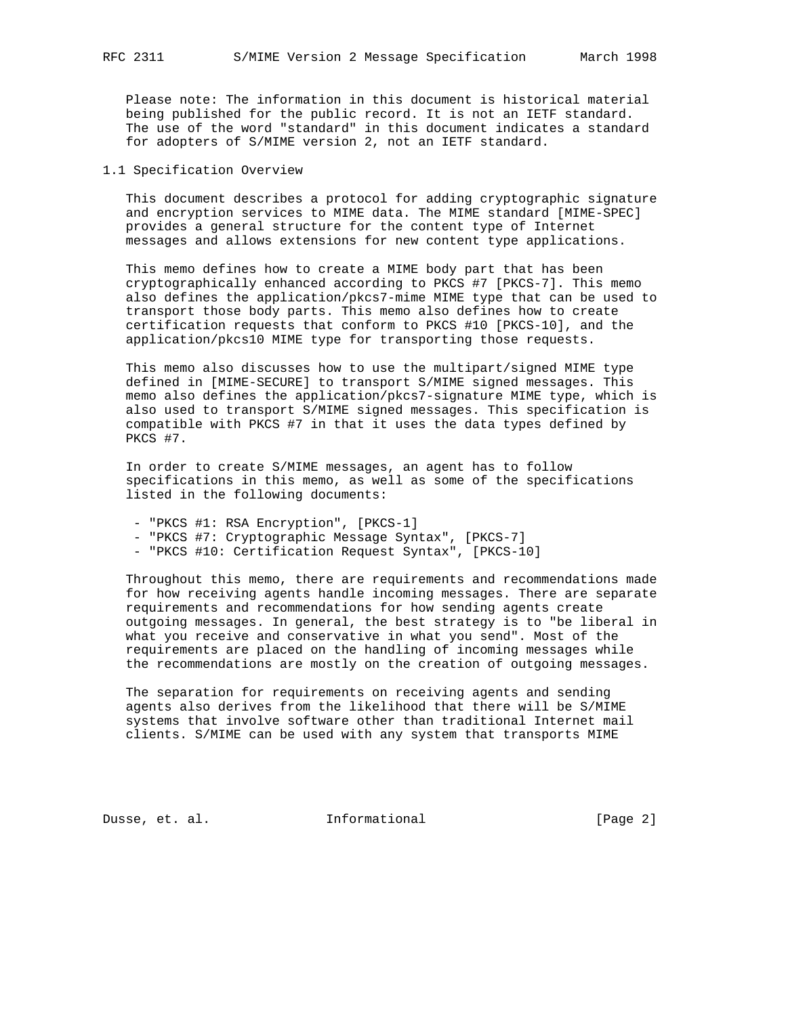Please note: The information in this document is historical material being published for the public record. It is not an IETF standard. The use of the word "standard" in this document indicates a standard for adopters of S/MIME version 2, not an IETF standard.

# 1.1 Specification Overview

 This document describes a protocol for adding cryptographic signature and encryption services to MIME data. The MIME standard [MIME-SPEC] provides a general structure for the content type of Internet messages and allows extensions for new content type applications.

 This memo defines how to create a MIME body part that has been cryptographically enhanced according to PKCS #7 [PKCS-7]. This memo also defines the application/pkcs7-mime MIME type that can be used to transport those body parts. This memo also defines how to create certification requests that conform to PKCS #10 [PKCS-10], and the application/pkcs10 MIME type for transporting those requests.

 This memo also discusses how to use the multipart/signed MIME type defined in [MIME-SECURE] to transport S/MIME signed messages. This memo also defines the application/pkcs7-signature MIME type, which is also used to transport S/MIME signed messages. This specification is compatible with PKCS #7 in that it uses the data types defined by PKCS #7.

 In order to create S/MIME messages, an agent has to follow specifications in this memo, as well as some of the specifications listed in the following documents:

- "PKCS #1: RSA Encryption", [PKCS-1]
- "PKCS #7: Cryptographic Message Syntax", [PKCS-7]
- "PKCS #10: Certification Request Syntax", [PKCS-10]

 Throughout this memo, there are requirements and recommendations made for how receiving agents handle incoming messages. There are separate requirements and recommendations for how sending agents create outgoing messages. In general, the best strategy is to "be liberal in what you receive and conservative in what you send". Most of the requirements are placed on the handling of incoming messages while the recommendations are mostly on the creation of outgoing messages.

 The separation for requirements on receiving agents and sending agents also derives from the likelihood that there will be S/MIME systems that involve software other than traditional Internet mail clients. S/MIME can be used with any system that transports MIME

Dusse, et. al. 1nformational 1999 [Page 2]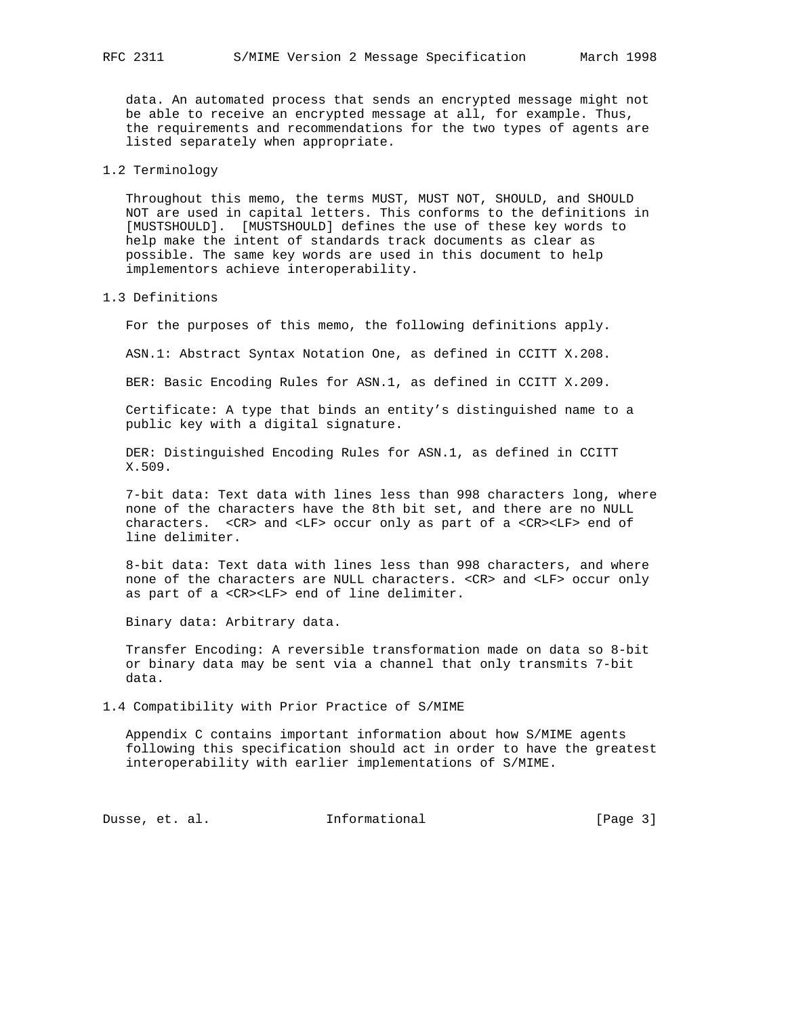data. An automated process that sends an encrypted message might not be able to receive an encrypted message at all, for example. Thus, the requirements and recommendations for the two types of agents are listed separately when appropriate.

### 1.2 Terminology

 Throughout this memo, the terms MUST, MUST NOT, SHOULD, and SHOULD NOT are used in capital letters. This conforms to the definitions in [MUSTSHOULD]. [MUSTSHOULD] defines the use of these key words to help make the intent of standards track documents as clear as possible. The same key words are used in this document to help implementors achieve interoperability.

#### 1.3 Definitions

For the purposes of this memo, the following definitions apply.

ASN.1: Abstract Syntax Notation One, as defined in CCITT X.208.

BER: Basic Encoding Rules for ASN.1, as defined in CCITT X.209.

 Certificate: A type that binds an entity's distinguished name to a public key with a digital signature.

 DER: Distinguished Encoding Rules for ASN.1, as defined in CCITT X.509.

 7-bit data: Text data with lines less than 998 characters long, where none of the characters have the 8th bit set, and there are no NULL characters. <CR> and <LF> occur only as part of a <CR><LF> end of line delimiter.

 8-bit data: Text data with lines less than 998 characters, and where none of the characters are NULL characters. <CR> and <LF> occur only as part of a <CR><LF> end of line delimiter.

Binary data: Arbitrary data.

 Transfer Encoding: A reversible transformation made on data so 8-bit or binary data may be sent via a channel that only transmits 7-bit data.

1.4 Compatibility with Prior Practice of S/MIME

 Appendix C contains important information about how S/MIME agents following this specification should act in order to have the greatest interoperability with earlier implementations of S/MIME.

Dusse, et. al. 1nformational 1999 [Page 3]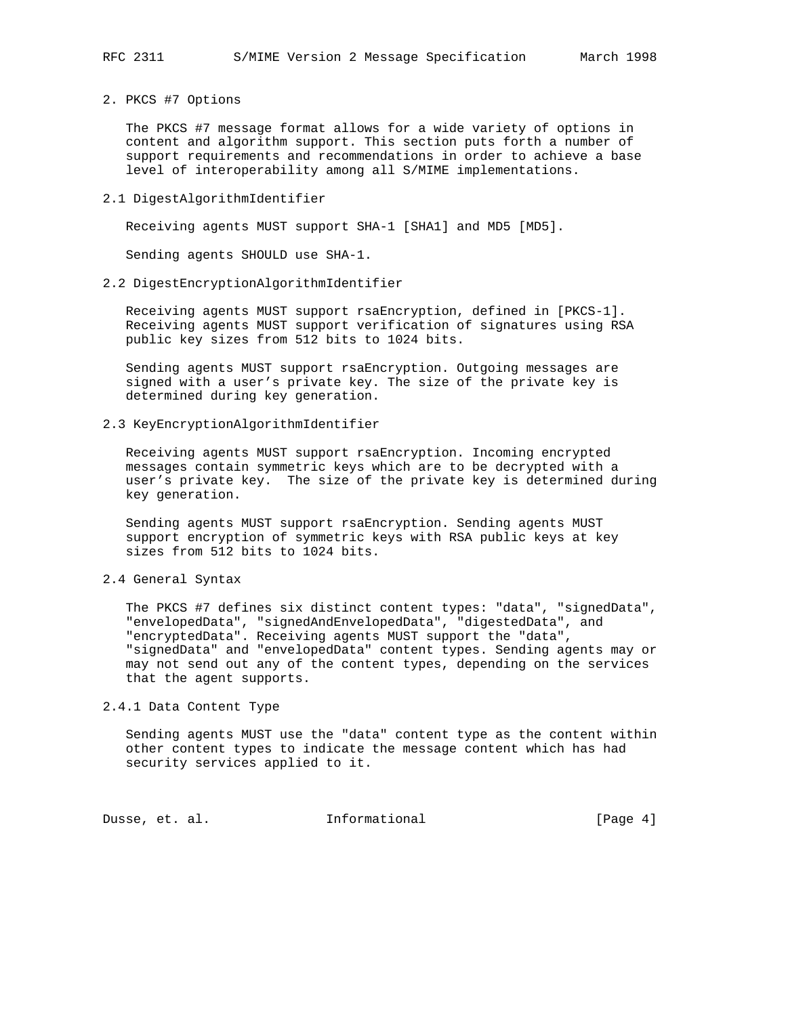2. PKCS #7 Options

 The PKCS #7 message format allows for a wide variety of options in content and algorithm support. This section puts forth a number of support requirements and recommendations in order to achieve a base level of interoperability among all S/MIME implementations.

2.1 DigestAlgorithmIdentifier

Receiving agents MUST support SHA-1 [SHA1] and MD5 [MD5].

Sending agents SHOULD use SHA-1.

2.2 DigestEncryptionAlgorithmIdentifier

 Receiving agents MUST support rsaEncryption, defined in [PKCS-1]. Receiving agents MUST support verification of signatures using RSA public key sizes from 512 bits to 1024 bits.

 Sending agents MUST support rsaEncryption. Outgoing messages are signed with a user's private key. The size of the private key is determined during key generation.

2.3 KeyEncryptionAlgorithmIdentifier

 Receiving agents MUST support rsaEncryption. Incoming encrypted messages contain symmetric keys which are to be decrypted with a user's private key. The size of the private key is determined during key generation.

 Sending agents MUST support rsaEncryption. Sending agents MUST support encryption of symmetric keys with RSA public keys at key sizes from 512 bits to 1024 bits.

2.4 General Syntax

 The PKCS #7 defines six distinct content types: "data", "signedData", "envelopedData", "signedAndEnvelopedData", "digestedData", and "encryptedData". Receiving agents MUST support the "data", "signedData" and "envelopedData" content types. Sending agents may or may not send out any of the content types, depending on the services that the agent supports.

2.4.1 Data Content Type

 Sending agents MUST use the "data" content type as the content within other content types to indicate the message content which has had security services applied to it.

Dusse, et. al. 1nformational 1999 [Page 4]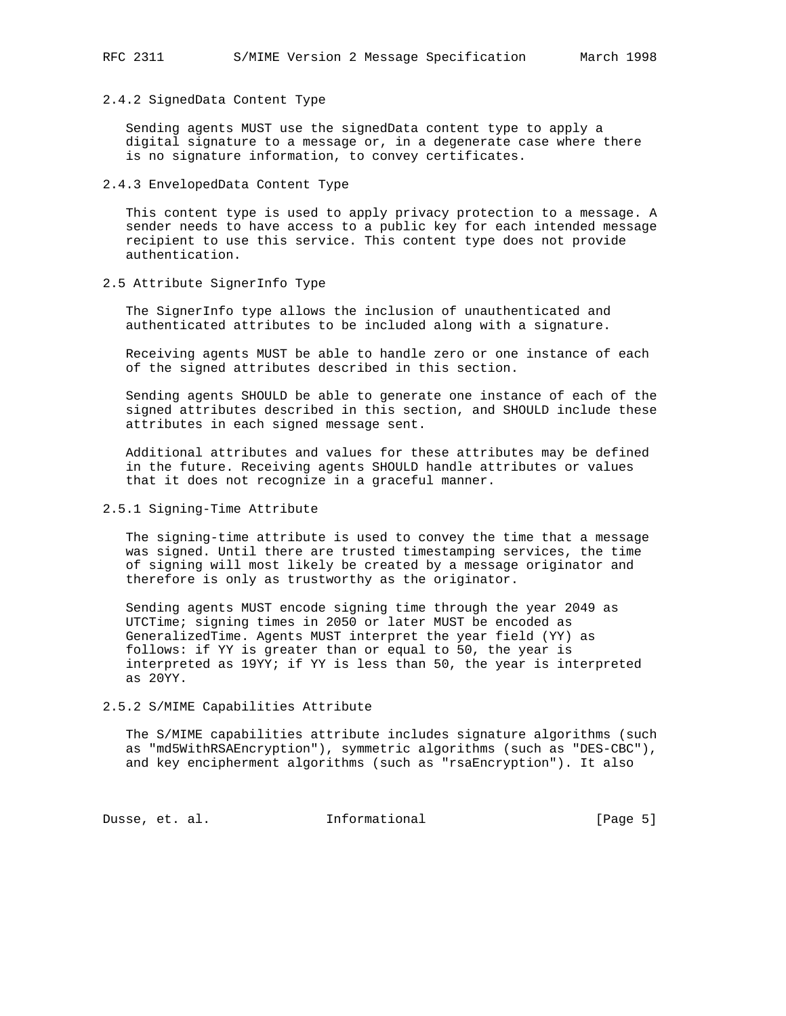### 2.4.2 SignedData Content Type

 Sending agents MUST use the signedData content type to apply a digital signature to a message or, in a degenerate case where there is no signature information, to convey certificates.

# 2.4.3 EnvelopedData Content Type

 This content type is used to apply privacy protection to a message. A sender needs to have access to a public key for each intended message recipient to use this service. This content type does not provide authentication.

2.5 Attribute SignerInfo Type

 The SignerInfo type allows the inclusion of unauthenticated and authenticated attributes to be included along with a signature.

 Receiving agents MUST be able to handle zero or one instance of each of the signed attributes described in this section.

 Sending agents SHOULD be able to generate one instance of each of the signed attributes described in this section, and SHOULD include these attributes in each signed message sent.

 Additional attributes and values for these attributes may be defined in the future. Receiving agents SHOULD handle attributes or values that it does not recognize in a graceful manner.

# 2.5.1 Signing-Time Attribute

 The signing-time attribute is used to convey the time that a message was signed. Until there are trusted timestamping services, the time of signing will most likely be created by a message originator and therefore is only as trustworthy as the originator.

 Sending agents MUST encode signing time through the year 2049 as UTCTime; signing times in 2050 or later MUST be encoded as GeneralizedTime. Agents MUST interpret the year field (YY) as follows: if YY is greater than or equal to 50, the year is interpreted as 19YY; if YY is less than 50, the year is interpreted as 20YY.

#### 2.5.2 S/MIME Capabilities Attribute

 The S/MIME capabilities attribute includes signature algorithms (such as "md5WithRSAEncryption"), symmetric algorithms (such as "DES-CBC"), and key encipherment algorithms (such as "rsaEncryption"). It also

Dusse, et. al. 10 mm = Informational 100 mm = [Page 5]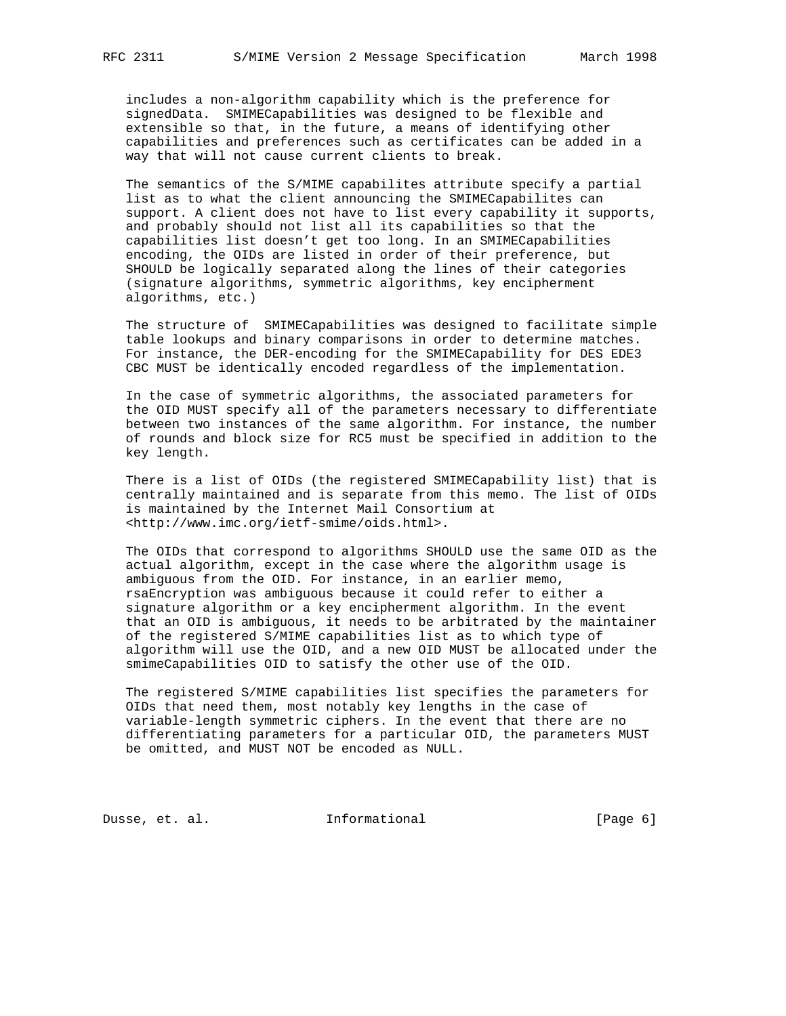includes a non-algorithm capability which is the preference for signedData. SMIMECapabilities was designed to be flexible and extensible so that, in the future, a means of identifying other capabilities and preferences such as certificates can be added in a way that will not cause current clients to break.

 The semantics of the S/MIME capabilites attribute specify a partial list as to what the client announcing the SMIMECapabilites can support. A client does not have to list every capability it supports, and probably should not list all its capabilities so that the capabilities list doesn't get too long. In an SMIMECapabilities encoding, the OIDs are listed in order of their preference, but SHOULD be logically separated along the lines of their categories (signature algorithms, symmetric algorithms, key encipherment algorithms, etc.)

 The structure of SMIMECapabilities was designed to facilitate simple table lookups and binary comparisons in order to determine matches. For instance, the DER-encoding for the SMIMECapability for DES EDE3 CBC MUST be identically encoded regardless of the implementation.

 In the case of symmetric algorithms, the associated parameters for the OID MUST specify all of the parameters necessary to differentiate between two instances of the same algorithm. For instance, the number of rounds and block size for RC5 must be specified in addition to the key length.

 There is a list of OIDs (the registered SMIMECapability list) that is centrally maintained and is separate from this memo. The list of OIDs is maintained by the Internet Mail Consortium at <http://www.imc.org/ietf-smime/oids.html>.

 The OIDs that correspond to algorithms SHOULD use the same OID as the actual algorithm, except in the case where the algorithm usage is ambiguous from the OID. For instance, in an earlier memo, rsaEncryption was ambiguous because it could refer to either a signature algorithm or a key encipherment algorithm. In the event that an OID is ambiguous, it needs to be arbitrated by the maintainer of the registered S/MIME capabilities list as to which type of algorithm will use the OID, and a new OID MUST be allocated under the smimeCapabilities OID to satisfy the other use of the OID.

 The registered S/MIME capabilities list specifies the parameters for OIDs that need them, most notably key lengths in the case of variable-length symmetric ciphers. In the event that there are no differentiating parameters for a particular OID, the parameters MUST be omitted, and MUST NOT be encoded as NULL.

Dusse, et. al. 1nformational 1999 [Page 6]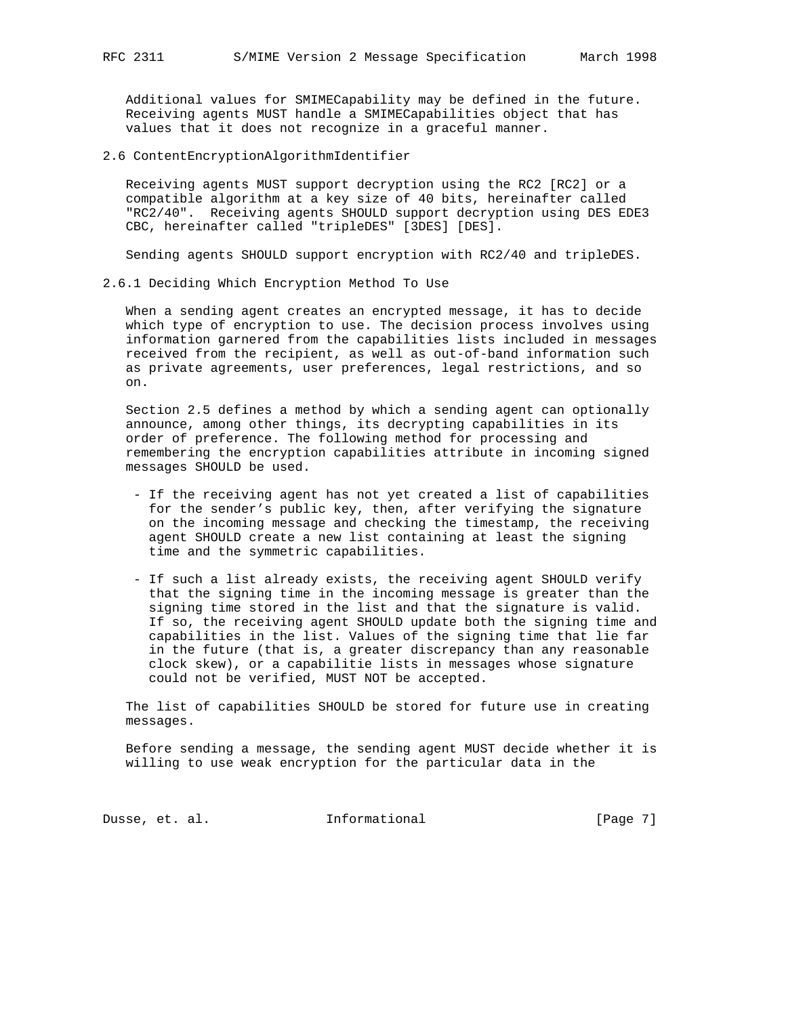Additional values for SMIMECapability may be defined in the future. Receiving agents MUST handle a SMIMECapabilities object that has values that it does not recognize in a graceful manner.

2.6 ContentEncryptionAlgorithmIdentifier

 Receiving agents MUST support decryption using the RC2 [RC2] or a compatible algorithm at a key size of 40 bits, hereinafter called "RC2/40". Receiving agents SHOULD support decryption using DES EDE3 CBC, hereinafter called "tripleDES" [3DES] [DES].

Sending agents SHOULD support encryption with RC2/40 and tripleDES.

2.6.1 Deciding Which Encryption Method To Use

 When a sending agent creates an encrypted message, it has to decide which type of encryption to use. The decision process involves using information garnered from the capabilities lists included in messages received from the recipient, as well as out-of-band information such as private agreements, user preferences, legal restrictions, and so on.

 Section 2.5 defines a method by which a sending agent can optionally announce, among other things, its decrypting capabilities in its order of preference. The following method for processing and remembering the encryption capabilities attribute in incoming signed messages SHOULD be used.

- If the receiving agent has not yet created a list of capabilities for the sender's public key, then, after verifying the signature on the incoming message and checking the timestamp, the receiving agent SHOULD create a new list containing at least the signing time and the symmetric capabilities.
- If such a list already exists, the receiving agent SHOULD verify that the signing time in the incoming message is greater than the signing time stored in the list and that the signature is valid. If so, the receiving agent SHOULD update both the signing time and capabilities in the list. Values of the signing time that lie far in the future (that is, a greater discrepancy than any reasonable clock skew), or a capabilitie lists in messages whose signature could not be verified, MUST NOT be accepted.

 The list of capabilities SHOULD be stored for future use in creating messages.

 Before sending a message, the sending agent MUST decide whether it is willing to use weak encryption for the particular data in the

Dusse, et. al. 1nformational 1999 [Page 7]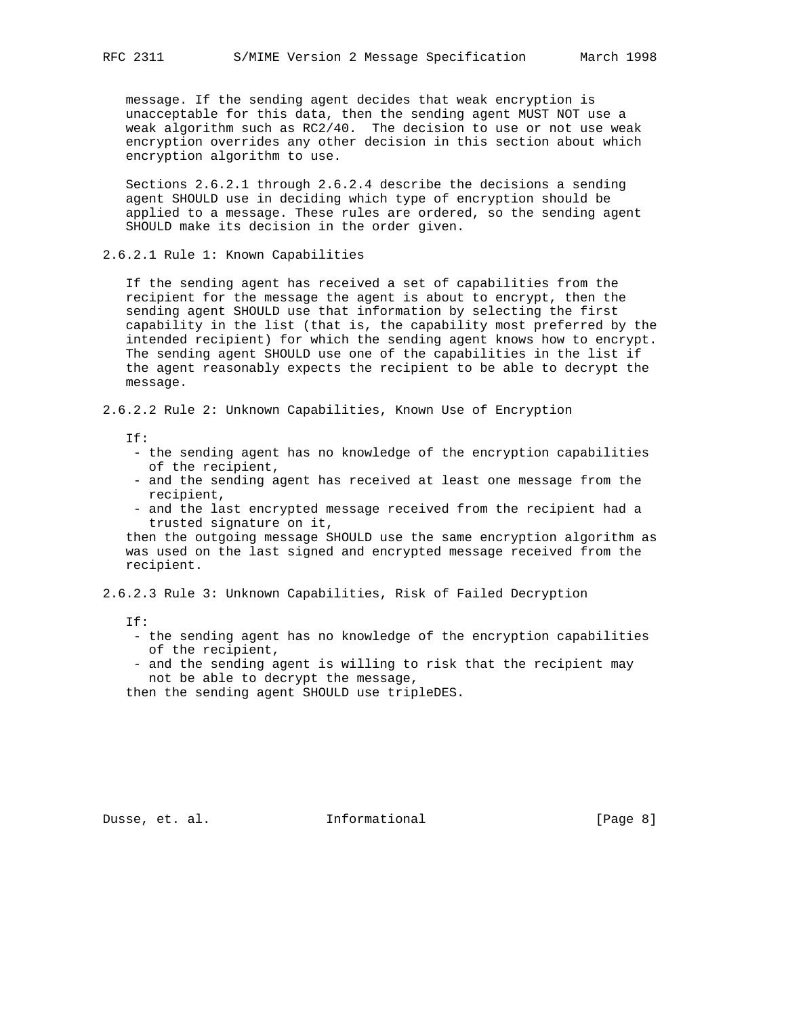message. If the sending agent decides that weak encryption is unacceptable for this data, then the sending agent MUST NOT use a weak algorithm such as RC2/40. The decision to use or not use weak encryption overrides any other decision in this section about which encryption algorithm to use.

 Sections 2.6.2.1 through 2.6.2.4 describe the decisions a sending agent SHOULD use in deciding which type of encryption should be applied to a message. These rules are ordered, so the sending agent SHOULD make its decision in the order given.

2.6.2.1 Rule 1: Known Capabilities

 If the sending agent has received a set of capabilities from the recipient for the message the agent is about to encrypt, then the sending agent SHOULD use that information by selecting the first capability in the list (that is, the capability most preferred by the intended recipient) for which the sending agent knows how to encrypt. The sending agent SHOULD use one of the capabilities in the list if the agent reasonably expects the recipient to be able to decrypt the message.

2.6.2.2 Rule 2: Unknown Capabilities, Known Use of Encryption

If:

- the sending agent has no knowledge of the encryption capabilities of the recipient,
- and the sending agent has received at least one message from the recipient,
- and the last encrypted message received from the recipient had a trusted signature on it,

 then the outgoing message SHOULD use the same encryption algorithm as was used on the last signed and encrypted message received from the recipient.

2.6.2.3 Rule 3: Unknown Capabilities, Risk of Failed Decryption

If:

- the sending agent has no knowledge of the encryption capabilities of the recipient,
- and the sending agent is willing to risk that the recipient may not be able to decrypt the message,

then the sending agent SHOULD use tripleDES.

Dusse, et. al. 10 mm = Informational 100 mm = [Page 8]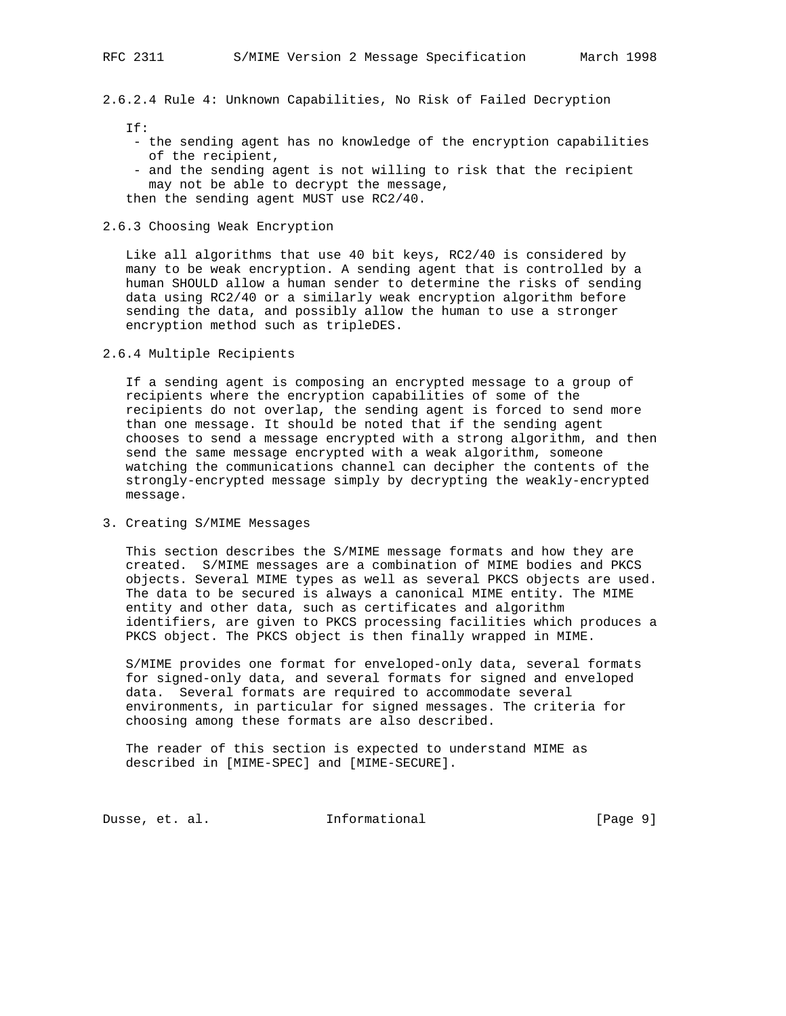2.6.2.4 Rule 4: Unknown Capabilities, No Risk of Failed Decryption

 $TF:$ 

- the sending agent has no knowledge of the encryption capabilities of the recipient,
- and the sending agent is not willing to risk that the recipient may not be able to decrypt the message,

then the sending agent MUST use RC2/40.

2.6.3 Choosing Weak Encryption

 Like all algorithms that use 40 bit keys, RC2/40 is considered by many to be weak encryption. A sending agent that is controlled by a human SHOULD allow a human sender to determine the risks of sending data using RC2/40 or a similarly weak encryption algorithm before sending the data, and possibly allow the human to use a stronger encryption method such as tripleDES.

2.6.4 Multiple Recipients

 If a sending agent is composing an encrypted message to a group of recipients where the encryption capabilities of some of the recipients do not overlap, the sending agent is forced to send more than one message. It should be noted that if the sending agent chooses to send a message encrypted with a strong algorithm, and then send the same message encrypted with a weak algorithm, someone watching the communications channel can decipher the contents of the strongly-encrypted message simply by decrypting the weakly-encrypted message.

3. Creating S/MIME Messages

 This section describes the S/MIME message formats and how they are created. S/MIME messages are a combination of MIME bodies and PKCS objects. Several MIME types as well as several PKCS objects are used. The data to be secured is always a canonical MIME entity. The MIME entity and other data, such as certificates and algorithm identifiers, are given to PKCS processing facilities which produces a PKCS object. The PKCS object is then finally wrapped in MIME.

 S/MIME provides one format for enveloped-only data, several formats for signed-only data, and several formats for signed and enveloped data. Several formats are required to accommodate several environments, in particular for signed messages. The criteria for choosing among these formats are also described.

 The reader of this section is expected to understand MIME as described in [MIME-SPEC] and [MIME-SECURE].

Dusse, et. al. 10 mm = Informational 100 mm = [Page 9]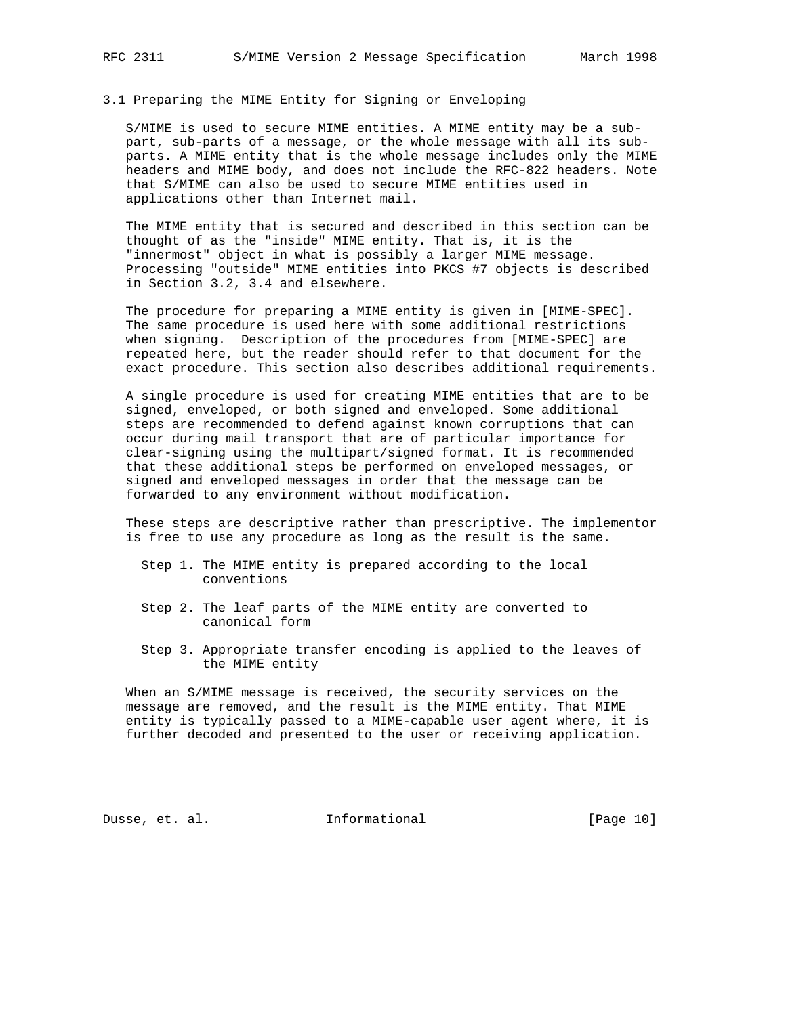# 3.1 Preparing the MIME Entity for Signing or Enveloping

 S/MIME is used to secure MIME entities. A MIME entity may be a sub part, sub-parts of a message, or the whole message with all its sub parts. A MIME entity that is the whole message includes only the MIME headers and MIME body, and does not include the RFC-822 headers. Note that S/MIME can also be used to secure MIME entities used in applications other than Internet mail.

 The MIME entity that is secured and described in this section can be thought of as the "inside" MIME entity. That is, it is the "innermost" object in what is possibly a larger MIME message. Processing "outside" MIME entities into PKCS #7 objects is described in Section 3.2, 3.4 and elsewhere.

 The procedure for preparing a MIME entity is given in [MIME-SPEC]. The same procedure is used here with some additional restrictions when signing. Description of the procedures from [MIME-SPEC] are repeated here, but the reader should refer to that document for the exact procedure. This section also describes additional requirements.

 A single procedure is used for creating MIME entities that are to be signed, enveloped, or both signed and enveloped. Some additional steps are recommended to defend against known corruptions that can occur during mail transport that are of particular importance for clear-signing using the multipart/signed format. It is recommended that these additional steps be performed on enveloped messages, or signed and enveloped messages in order that the message can be forwarded to any environment without modification.

 These steps are descriptive rather than prescriptive. The implementor is free to use any procedure as long as the result is the same.

- Step 1. The MIME entity is prepared according to the local conventions
- Step 2. The leaf parts of the MIME entity are converted to canonical form
- Step 3. Appropriate transfer encoding is applied to the leaves of the MIME entity

 When an S/MIME message is received, the security services on the message are removed, and the result is the MIME entity. That MIME entity is typically passed to a MIME-capable user agent where, it is further decoded and presented to the user or receiving application.

Dusse, et. al. **Informational** [Page 10]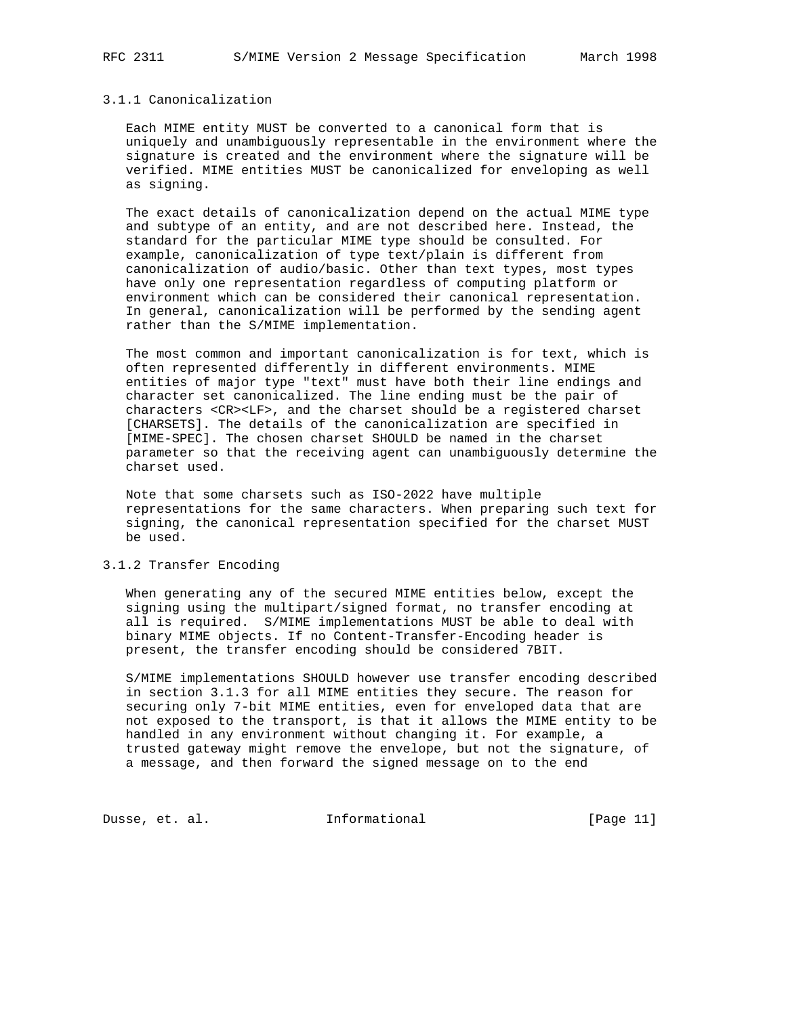#### 3.1.1 Canonicalization

 Each MIME entity MUST be converted to a canonical form that is uniquely and unambiguously representable in the environment where the signature is created and the environment where the signature will be verified. MIME entities MUST be canonicalized for enveloping as well as signing.

 The exact details of canonicalization depend on the actual MIME type and subtype of an entity, and are not described here. Instead, the standard for the particular MIME type should be consulted. For example, canonicalization of type text/plain is different from canonicalization of audio/basic. Other than text types, most types have only one representation regardless of computing platform or environment which can be considered their canonical representation. In general, canonicalization will be performed by the sending agent rather than the S/MIME implementation.

 The most common and important canonicalization is for text, which is often represented differently in different environments. MIME entities of major type "text" must have both their line endings and character set canonicalized. The line ending must be the pair of characters <CR><LF>, and the charset should be a registered charset [CHARSETS]. The details of the canonicalization are specified in [MIME-SPEC]. The chosen charset SHOULD be named in the charset parameter so that the receiving agent can unambiguously determine the charset used.

 Note that some charsets such as ISO-2022 have multiple representations for the same characters. When preparing such text for signing, the canonical representation specified for the charset MUST be used.

## 3.1.2 Transfer Encoding

 When generating any of the secured MIME entities below, except the signing using the multipart/signed format, no transfer encoding at all is required. S/MIME implementations MUST be able to deal with binary MIME objects. If no Content-Transfer-Encoding header is present, the transfer encoding should be considered 7BIT.

 S/MIME implementations SHOULD however use transfer encoding described in section 3.1.3 for all MIME entities they secure. The reason for securing only 7-bit MIME entities, even for enveloped data that are not exposed to the transport, is that it allows the MIME entity to be handled in any environment without changing it. For example, a trusted gateway might remove the envelope, but not the signature, of a message, and then forward the signed message on to the end

Dusse, et. al. 1nformational 11 [Page 11]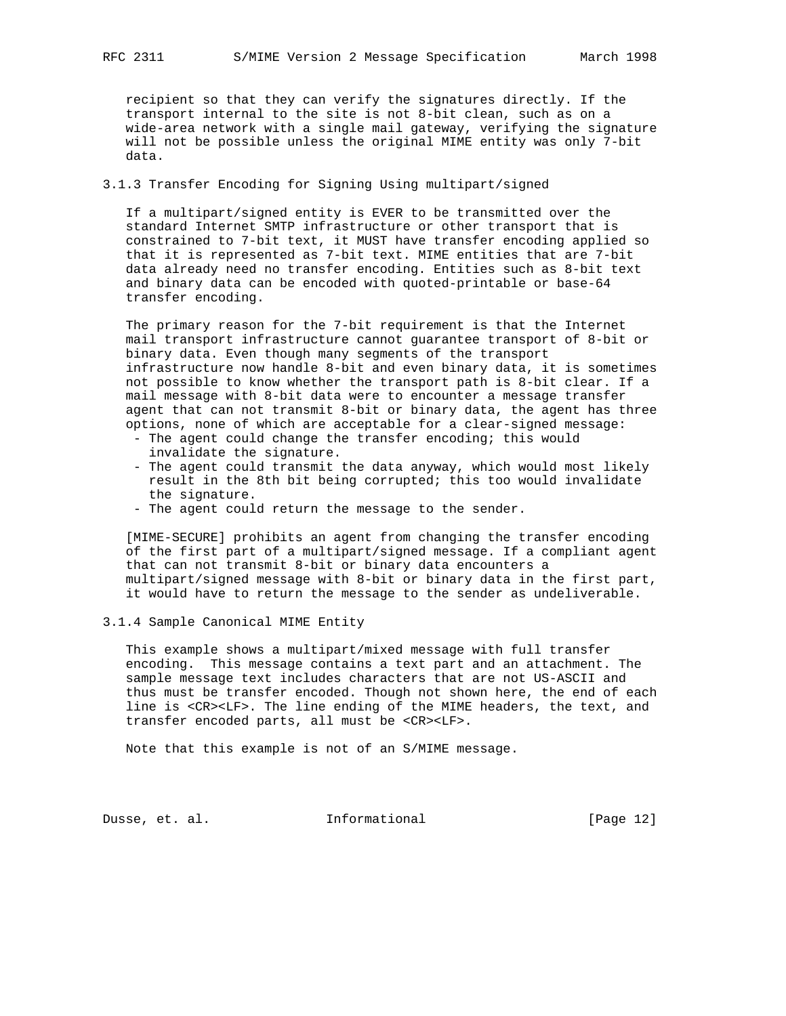recipient so that they can verify the signatures directly. If the transport internal to the site is not 8-bit clean, such as on a wide-area network with a single mail gateway, verifying the signature will not be possible unless the original MIME entity was only 7-bit data.

# 3.1.3 Transfer Encoding for Signing Using multipart/signed

 If a multipart/signed entity is EVER to be transmitted over the standard Internet SMTP infrastructure or other transport that is constrained to 7-bit text, it MUST have transfer encoding applied so that it is represented as 7-bit text. MIME entities that are 7-bit data already need no transfer encoding. Entities such as 8-bit text and binary data can be encoded with quoted-printable or base-64 transfer encoding.

 The primary reason for the 7-bit requirement is that the Internet mail transport infrastructure cannot guarantee transport of 8-bit or binary data. Even though many segments of the transport infrastructure now handle 8-bit and even binary data, it is sometimes not possible to know whether the transport path is 8-bit clear. If a mail message with 8-bit data were to encounter a message transfer agent that can not transmit 8-bit or binary data, the agent has three options, none of which are acceptable for a clear-signed message:

- The agent could change the transfer encoding; this would invalidate the signature.
- The agent could transmit the data anyway, which would most likely result in the 8th bit being corrupted; this too would invalidate the signature.
- The agent could return the message to the sender.

 [MIME-SECURE] prohibits an agent from changing the transfer encoding of the first part of a multipart/signed message. If a compliant agent that can not transmit 8-bit or binary data encounters a multipart/signed message with 8-bit or binary data in the first part, it would have to return the message to the sender as undeliverable.

### 3.1.4 Sample Canonical MIME Entity

 This example shows a multipart/mixed message with full transfer encoding. This message contains a text part and an attachment. The sample message text includes characters that are not US-ASCII and thus must be transfer encoded. Though not shown here, the end of each line is <CR><LF>. The line ending of the MIME headers, the text, and transfer encoded parts, all must be <CR><LF>.

Note that this example is not of an S/MIME message.

Dusse, et. al. 1nformational [Page 12]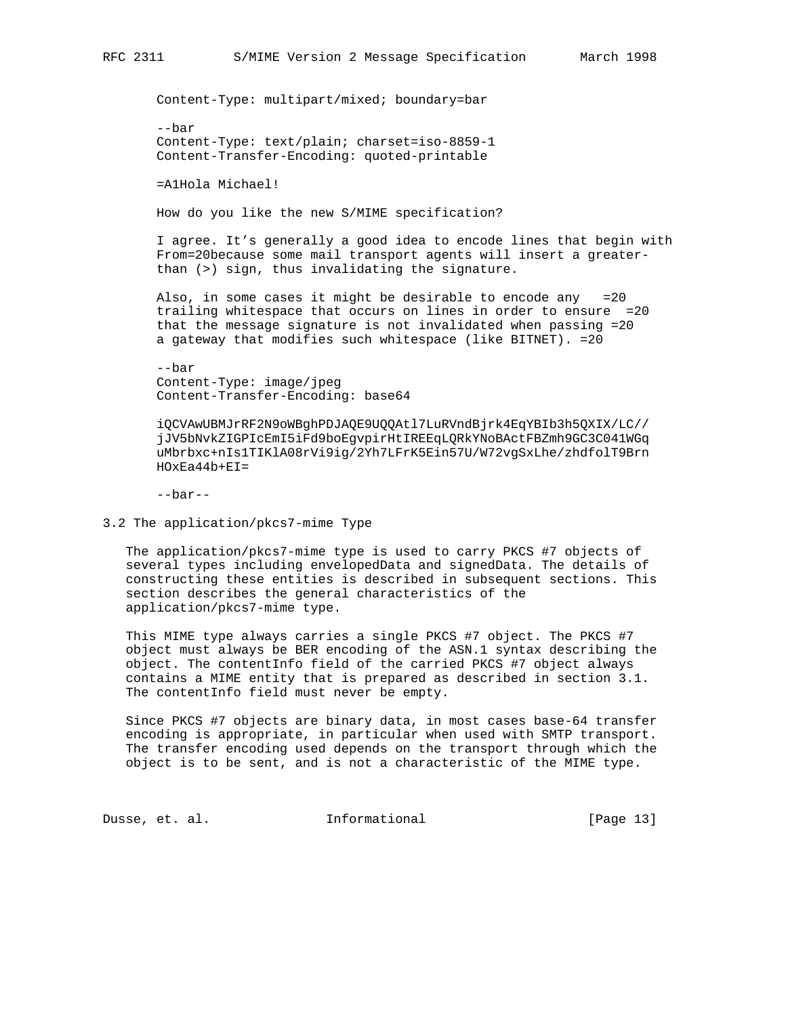Content-Type: multipart/mixed; boundary=bar

 --bar Content-Type: text/plain; charset=iso-8859-1 Content-Transfer-Encoding: quoted-printable

=A1Hola Michael!

How do you like the new S/MIME specification?

 I agree. It's generally a good idea to encode lines that begin with From=20because some mail transport agents will insert a greater than (>) sign, thus invalidating the signature.

 Also, in some cases it might be desirable to encode any =20 trailing whitespace that occurs on lines in order to ensure =20 that the message signature is not invalidated when passing =20 a gateway that modifies such whitespace (like BITNET). =20

 --bar Content-Type: image/jpeg Content-Transfer-Encoding: base64

 iQCVAwUBMJrRF2N9oWBghPDJAQE9UQQAtl7LuRVndBjrk4EqYBIb3h5QXIX/LC// jJV5bNvkZIGPIcEmI5iFd9boEgvpirHtIREEqLQRkYNoBActFBZmh9GC3C041WGq uMbrbxc+nIs1TIKlA08rVi9ig/2Yh7LFrK5Ein57U/W72vgSxLhe/zhdfolT9Brn  $HOXEA44b+EI=$ 

--bar--

3.2 The application/pkcs7-mime Type

 The application/pkcs7-mime type is used to carry PKCS #7 objects of several types including envelopedData and signedData. The details of constructing these entities is described in subsequent sections. This section describes the general characteristics of the application/pkcs7-mime type.

 This MIME type always carries a single PKCS #7 object. The PKCS #7 object must always be BER encoding of the ASN.1 syntax describing the object. The contentInfo field of the carried PKCS #7 object always contains a MIME entity that is prepared as described in section 3.1. The contentInfo field must never be empty.

 Since PKCS #7 objects are binary data, in most cases base-64 transfer encoding is appropriate, in particular when used with SMTP transport. The transfer encoding used depends on the transport through which the object is to be sent, and is not a characteristic of the MIME type.

Dusse, et. al. 10 Informational 1999 [Page 13]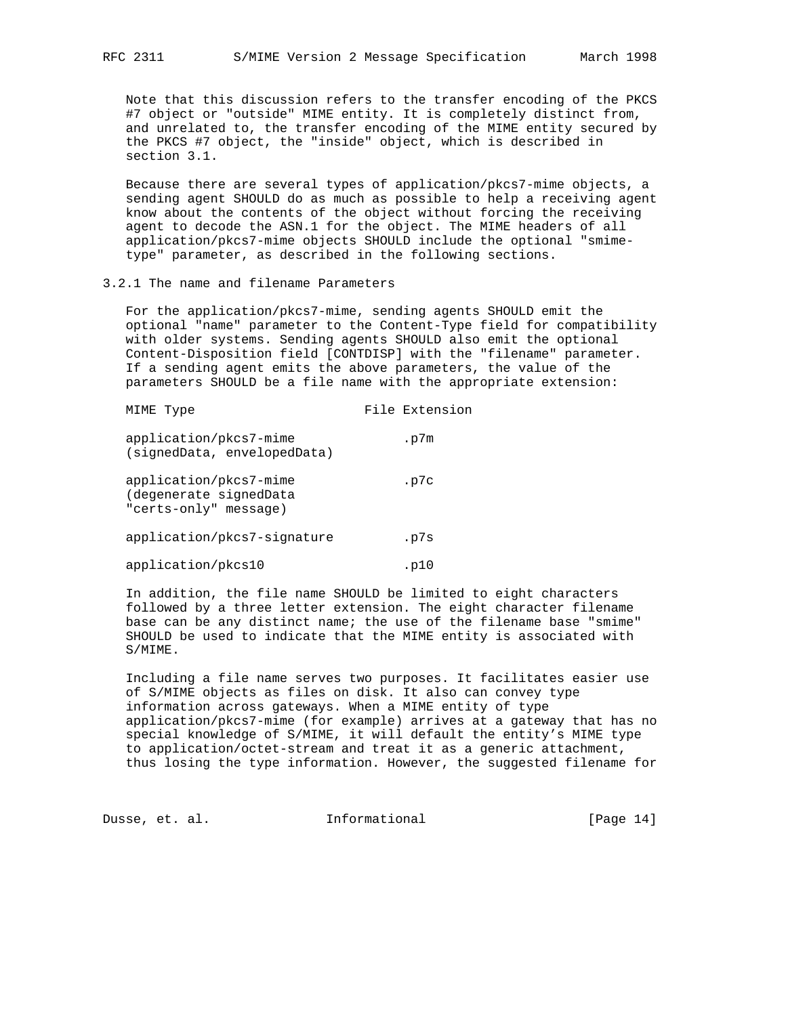Note that this discussion refers to the transfer encoding of the PKCS #7 object or "outside" MIME entity. It is completely distinct from, and unrelated to, the transfer encoding of the MIME entity secured by the PKCS #7 object, the "inside" object, which is described in section 3.1.

 Because there are several types of application/pkcs7-mime objects, a sending agent SHOULD do as much as possible to help a receiving agent know about the contents of the object without forcing the receiving agent to decode the ASN.1 for the object. The MIME headers of all application/pkcs7-mime objects SHOULD include the optional "smime type" parameter, as described in the following sections.

### 3.2.1 The name and filename Parameters

 For the application/pkcs7-mime, sending agents SHOULD emit the optional "name" parameter to the Content-Type field for compatibility with older systems. Sending agents SHOULD also emit the optional Content-Disposition field [CONTDISP] with the "filename" parameter. If a sending agent emits the above parameters, the value of the parameters SHOULD be a file name with the appropriate extension:

| MIME Type                                                                 | File Extension |
|---------------------------------------------------------------------------|----------------|
| application/pkcs7-mime<br>(signedData, envelopedData)                     | .p7m           |
| application/pkcs7-mime<br>(degenerate signedData<br>"certs-only" message) | .p7c           |
| application/pkcs7-signature                                               | .p7s           |
| application/pkcs10                                                        | .p10           |

 In addition, the file name SHOULD be limited to eight characters followed by a three letter extension. The eight character filename base can be any distinct name; the use of the filename base "smime" SHOULD be used to indicate that the MIME entity is associated with S/MIME.

 Including a file name serves two purposes. It facilitates easier use of S/MIME objects as files on disk. It also can convey type information across gateways. When a MIME entity of type application/pkcs7-mime (for example) arrives at a gateway that has no special knowledge of S/MIME, it will default the entity's MIME type to application/octet-stream and treat it as a generic attachment, thus losing the type information. However, the suggested filename for

Dusse, et. al. 10. Informational 1. [Page 14]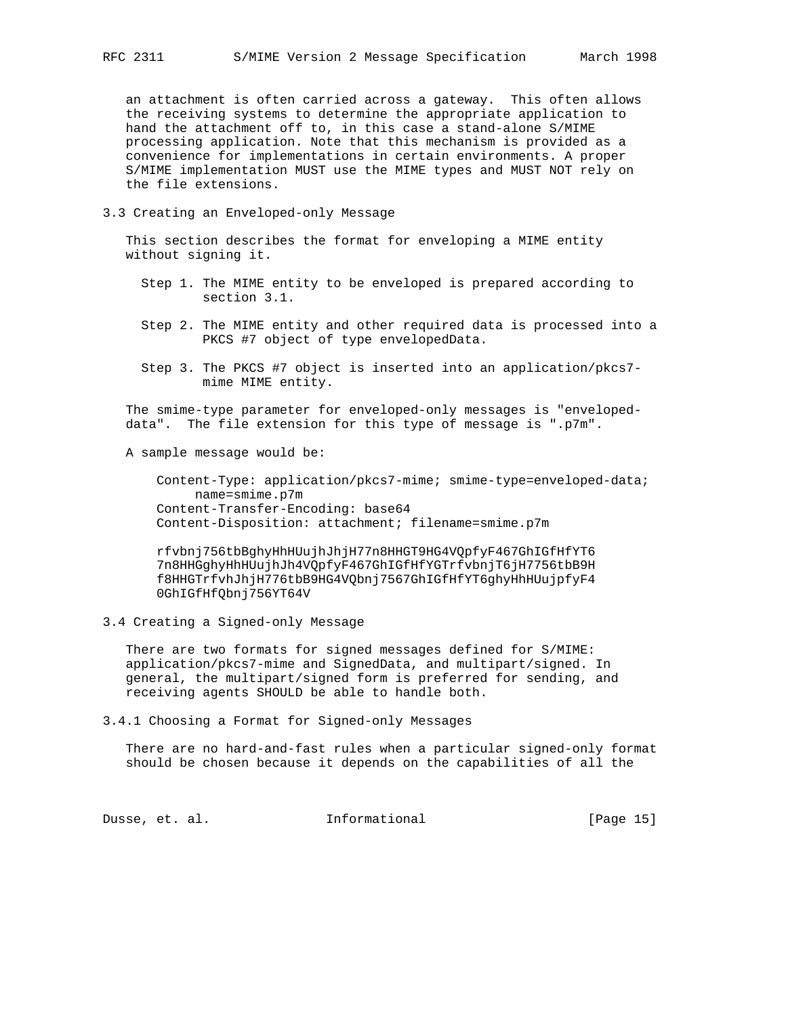an attachment is often carried across a gateway. This often allows the receiving systems to determine the appropriate application to hand the attachment off to, in this case a stand-alone S/MIME processing application. Note that this mechanism is provided as a convenience for implementations in certain environments. A proper S/MIME implementation MUST use the MIME types and MUST NOT rely on the file extensions.

3.3 Creating an Enveloped-only Message

 This section describes the format for enveloping a MIME entity without signing it.

- Step 1. The MIME entity to be enveloped is prepared according to section 3.1.
- Step 2. The MIME entity and other required data is processed into a PKCS #7 object of type envelopedData.
- Step 3. The PKCS #7 object is inserted into an application/pkcs7 mime MIME entity.

 The smime-type parameter for enveloped-only messages is "enveloped data". The file extension for this type of message is ".p7m".

A sample message would be:

 Content-Type: application/pkcs7-mime; smime-type=enveloped-data; name=smime.p7m Content-Transfer-Encoding: base64 Content-Disposition: attachment; filename=smime.p7m

 rfvbnj756tbBghyHhHUujhJhjH77n8HHGT9HG4VQpfyF467GhIGfHfYT6 7n8HHGghyHhHUujhJh4VQpfyF467GhIGfHfYGTrfvbnjT6jH7756tbB9H f8HHGTrfvhJhjH776tbB9HG4VQbnj7567GhIGfHfYT6ghyHhHUujpfyF4 0GhIGfHfQbnj756YT64V

3.4 Creating a Signed-only Message

 There are two formats for signed messages defined for S/MIME: application/pkcs7-mime and SignedData, and multipart/signed. In general, the multipart/signed form is preferred for sending, and receiving agents SHOULD be able to handle both.

3.4.1 Choosing a Format for Signed-only Messages

 There are no hard-and-fast rules when a particular signed-only format should be chosen because it depends on the capabilities of all the

Dusse, et. al. 10. Informational 1. [Page 15]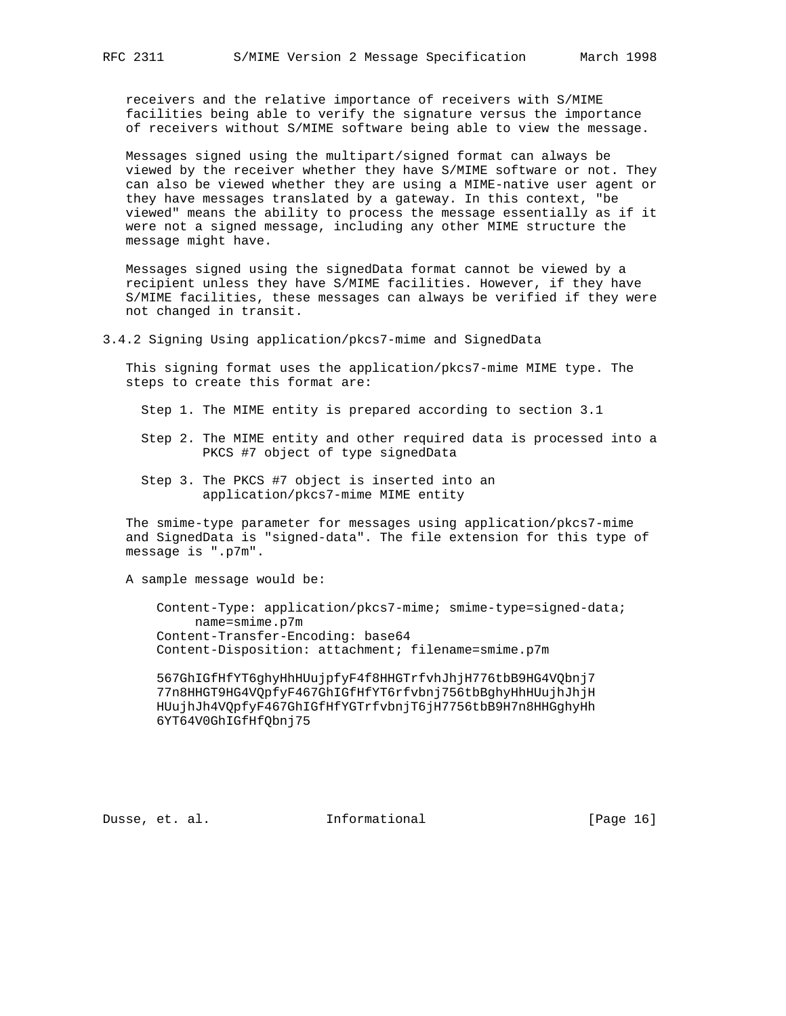receivers and the relative importance of receivers with S/MIME facilities being able to verify the signature versus the importance of receivers without S/MIME software being able to view the message.

 Messages signed using the multipart/signed format can always be viewed by the receiver whether they have S/MIME software or not. They can also be viewed whether they are using a MIME-native user agent or they have messages translated by a gateway. In this context, "be viewed" means the ability to process the message essentially as if it were not a signed message, including any other MIME structure the message might have.

 Messages signed using the signedData format cannot be viewed by a recipient unless they have S/MIME facilities. However, if they have S/MIME facilities, these messages can always be verified if they were not changed in transit.

3.4.2 Signing Using application/pkcs7-mime and SignedData

 This signing format uses the application/pkcs7-mime MIME type. The steps to create this format are:

Step 1. The MIME entity is prepared according to section 3.1

- Step 2. The MIME entity and other required data is processed into a PKCS #7 object of type signedData
- Step 3. The PKCS #7 object is inserted into an application/pkcs7-mime MIME entity

 The smime-type parameter for messages using application/pkcs7-mime and SignedData is "signed-data". The file extension for this type of message is ".p7m".

A sample message would be:

 Content-Type: application/pkcs7-mime; smime-type=signed-data; name=smime.p7m Content-Transfer-Encoding: base64 Content-Disposition: attachment; filename=smime.p7m

 567GhIGfHfYT6ghyHhHUujpfyF4f8HHGTrfvhJhjH776tbB9HG4VQbnj7 77n8HHGT9HG4VQpfyF467GhIGfHfYT6rfvbnj756tbBghyHhHUujhJhjH HUujhJh4VQpfyF467GhIGfHfYGTrfvbnjT6jH7756tbB9H7n8HHGghyHh 6YT64V0GhIGfHfQbnj75

Dusse, et. al. 1nformational 1999 [Page 16]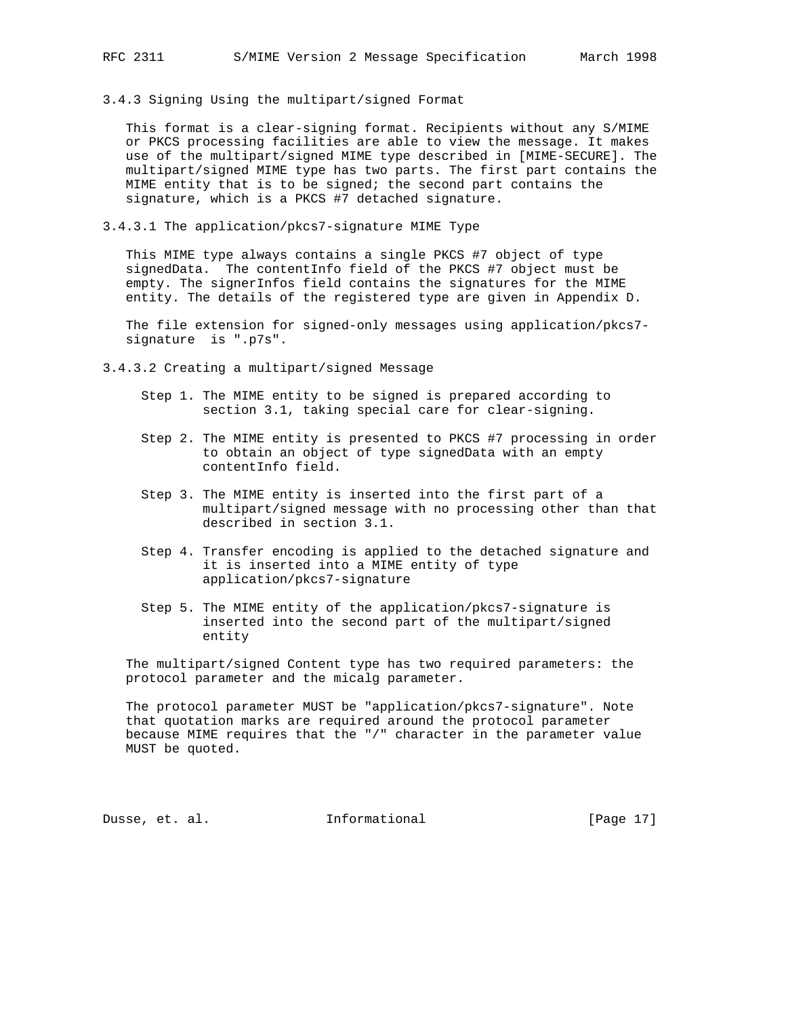3.4.3 Signing Using the multipart/signed Format

 This format is a clear-signing format. Recipients without any S/MIME or PKCS processing facilities are able to view the message. It makes use of the multipart/signed MIME type described in [MIME-SECURE]. The multipart/signed MIME type has two parts. The first part contains the MIME entity that is to be signed; the second part contains the signature, which is a PKCS #7 detached signature.

3.4.3.1 The application/pkcs7-signature MIME Type

 This MIME type always contains a single PKCS #7 object of type signedData. The contentInfo field of the PKCS #7 object must be empty. The signerInfos field contains the signatures for the MIME entity. The details of the registered type are given in Appendix D.

 The file extension for signed-only messages using application/pkcs7 signature is ".p7s".

- 3.4.3.2 Creating a multipart/signed Message
	- Step 1. The MIME entity to be signed is prepared according to section 3.1, taking special care for clear-signing.
	- Step 2. The MIME entity is presented to PKCS #7 processing in order to obtain an object of type signedData with an empty contentInfo field.
	- Step 3. The MIME entity is inserted into the first part of a multipart/signed message with no processing other than that described in section 3.1.
	- Step 4. Transfer encoding is applied to the detached signature and it is inserted into a MIME entity of type application/pkcs7-signature
	- Step 5. The MIME entity of the application/pkcs7-signature is inserted into the second part of the multipart/signed entity

 The multipart/signed Content type has two required parameters: the protocol parameter and the micalg parameter.

 The protocol parameter MUST be "application/pkcs7-signature". Note that quotation marks are required around the protocol parameter because MIME requires that the "/" character in the parameter value MUST be quoted.

Dusse, et. al. **Informational** [Page 17]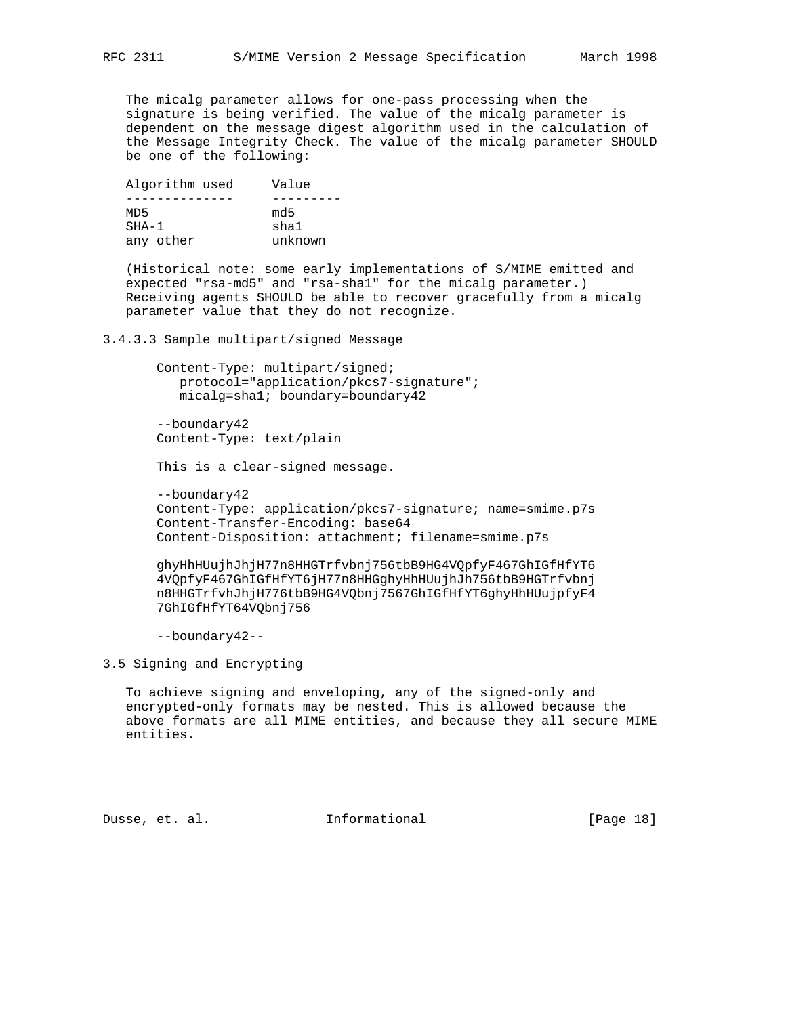The micalg parameter allows for one-pass processing when the signature is being verified. The value of the micalg parameter is dependent on the message digest algorithm used in the calculation of the Message Integrity Check. The value of the micalg parameter SHOULD be one of the following:

| Algorithm used | Value   |
|----------------|---------|
|                |         |
| MD5            | md 5    |
| $SHA-1$        | sha1    |
| any other      | unknown |

 (Historical note: some early implementations of S/MIME emitted and expected "rsa-md5" and "rsa-sha1" for the micalg parameter.) Receiving agents SHOULD be able to recover gracefully from a micalg parameter value that they do not recognize.

3.4.3.3 Sample multipart/signed Message

 Content-Type: multipart/signed; protocol="application/pkcs7-signature"; micalg=sha1; boundary=boundary42

 --boundary42 Content-Type: text/plain

This is a clear-signed message.

 --boundary42 Content-Type: application/pkcs7-signature; name=smime.p7s Content-Transfer-Encoding: base64 Content-Disposition: attachment; filename=smime.p7s

 ghyHhHUujhJhjH77n8HHGTrfvbnj756tbB9HG4VQpfyF467GhIGfHfYT6 4VQpfyF467GhIGfHfYT6jH77n8HHGghyHhHUujhJh756tbB9HGTrfvbnj n8HHGTrfvhJhjH776tbB9HG4VQbnj7567GhIGfHfYT6ghyHhHUujpfyF4 7GhIGfHfYT64VQbnj756

--boundary42--

3.5 Signing and Encrypting

 To achieve signing and enveloping, any of the signed-only and encrypted-only formats may be nested. This is allowed because the above formats are all MIME entities, and because they all secure MIME entities.

Dusse, et. al. 1nformational 1999 [Page 18]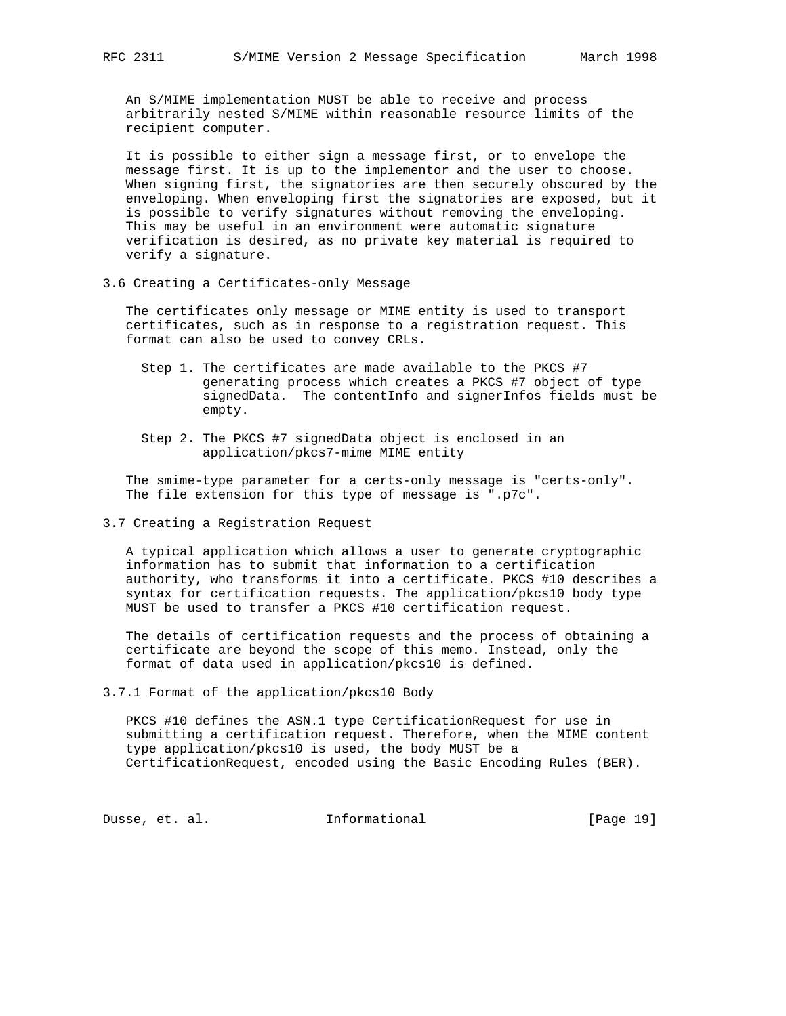An S/MIME implementation MUST be able to receive and process arbitrarily nested S/MIME within reasonable resource limits of the recipient computer.

 It is possible to either sign a message first, or to envelope the message first. It is up to the implementor and the user to choose. When signing first, the signatories are then securely obscured by the enveloping. When enveloping first the signatories are exposed, but it is possible to verify signatures without removing the enveloping. This may be useful in an environment were automatic signature verification is desired, as no private key material is required to verify a signature.

3.6 Creating a Certificates-only Message

 The certificates only message or MIME entity is used to transport certificates, such as in response to a registration request. This format can also be used to convey CRLs.

- Step 1. The certificates are made available to the PKCS #7 generating process which creates a PKCS #7 object of type signedData. The contentInfo and signerInfos fields must be empty.
- Step 2. The PKCS #7 signedData object is enclosed in an application/pkcs7-mime MIME entity

 The smime-type parameter for a certs-only message is "certs-only". The file extension for this type of message is ".p7c".

3.7 Creating a Registration Request

 A typical application which allows a user to generate cryptographic information has to submit that information to a certification authority, who transforms it into a certificate. PKCS #10 describes a syntax for certification requests. The application/pkcs10 body type MUST be used to transfer a PKCS #10 certification request.

 The details of certification requests and the process of obtaining a certificate are beyond the scope of this memo. Instead, only the format of data used in application/pkcs10 is defined.

3.7.1 Format of the application/pkcs10 Body

 PKCS #10 defines the ASN.1 type CertificationRequest for use in submitting a certification request. Therefore, when the MIME content type application/pkcs10 is used, the body MUST be a CertificationRequest, encoded using the Basic Encoding Rules (BER).

Dusse, et. al. 1nformational 1915 [Page 19]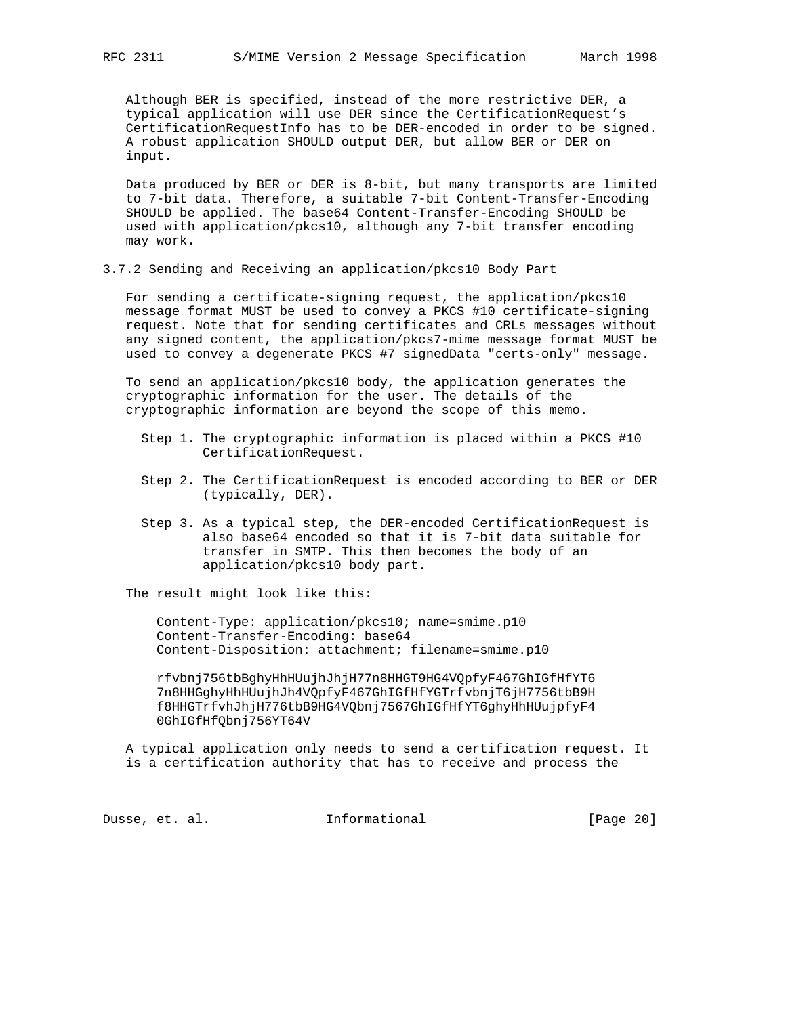Although BER is specified, instead of the more restrictive DER, a typical application will use DER since the CertificationRequest's CertificationRequestInfo has to be DER-encoded in order to be signed. A robust application SHOULD output DER, but allow BER or DER on input.

 Data produced by BER or DER is 8-bit, but many transports are limited to 7-bit data. Therefore, a suitable 7-bit Content-Transfer-Encoding SHOULD be applied. The base64 Content-Transfer-Encoding SHOULD be used with application/pkcs10, although any 7-bit transfer encoding may work.

3.7.2 Sending and Receiving an application/pkcs10 Body Part

 For sending a certificate-signing request, the application/pkcs10 message format MUST be used to convey a PKCS #10 certificate-signing request. Note that for sending certificates and CRLs messages without any signed content, the application/pkcs7-mime message format MUST be used to convey a degenerate PKCS #7 signedData "certs-only" message.

 To send an application/pkcs10 body, the application generates the cryptographic information for the user. The details of the cryptographic information are beyond the scope of this memo.

- Step 1. The cryptographic information is placed within a PKCS #10 CertificationRequest.
- Step 2. The CertificationRequest is encoded according to BER or DER (typically, DER).
- Step 3. As a typical step, the DER-encoded CertificationRequest is also base64 encoded so that it is 7-bit data suitable for transfer in SMTP. This then becomes the body of an application/pkcs10 body part.

The result might look like this:

 Content-Type: application/pkcs10; name=smime.p10 Content-Transfer-Encoding: base64 Content-Disposition: attachment; filename=smime.p10

 rfvbnj756tbBghyHhHUujhJhjH77n8HHGT9HG4VQpfyF467GhIGfHfYT6 7n8HHGghyHhHUujhJh4VQpfyF467GhIGfHfYGTrfvbnjT6jH7756tbB9H f8HHGTrfvhJhjH776tbB9HG4VQbnj7567GhIGfHfYT6ghyHhHUujpfyF4 0GhIGfHfQbnj756YT64V

 A typical application only needs to send a certification request. It is a certification authority that has to receive and process the

Dusse, et. al. 1nformational [Page 20]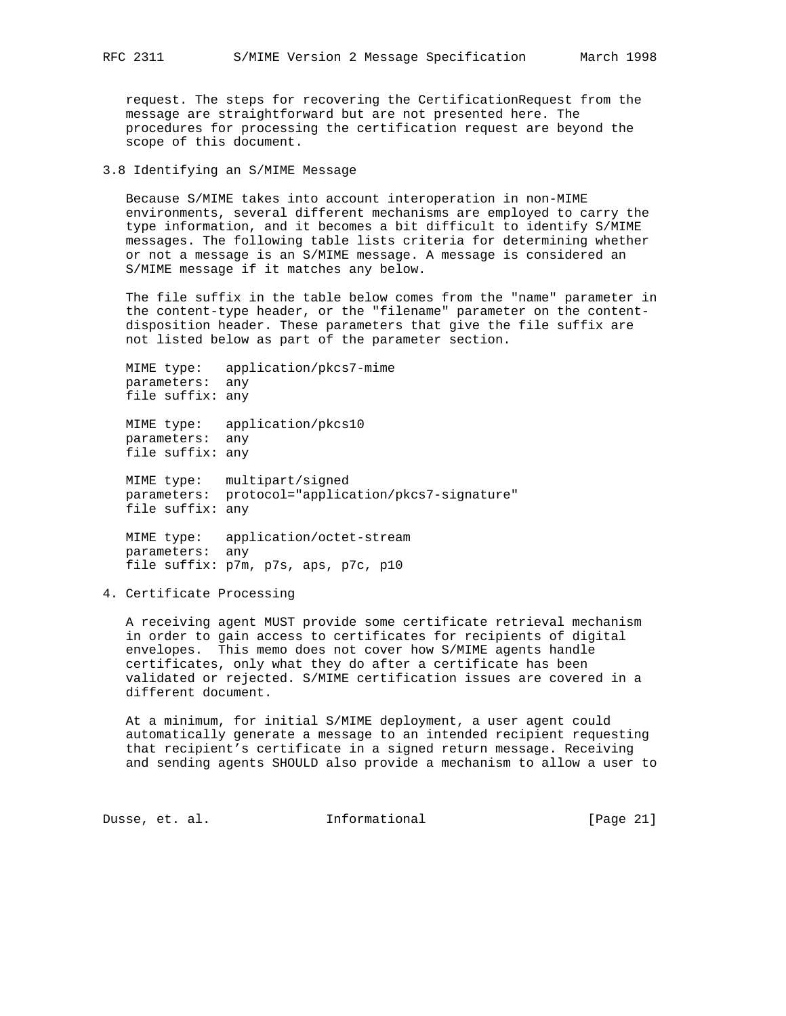request. The steps for recovering the CertificationRequest from the message are straightforward but are not presented here. The procedures for processing the certification request are beyond the scope of this document.

# 3.8 Identifying an S/MIME Message

 Because S/MIME takes into account interoperation in non-MIME environments, several different mechanisms are employed to carry the type information, and it becomes a bit difficult to identify S/MIME messages. The following table lists criteria for determining whether or not a message is an S/MIME message. A message is considered an S/MIME message if it matches any below.

 The file suffix in the table below comes from the "name" parameter in the content-type header, or the "filename" parameter on the content disposition header. These parameters that give the file suffix are not listed below as part of the parameter section.

 MIME type: application/pkcs7-mime parameters: any file suffix: any

 MIME type: application/pkcs10 parameters: any file suffix: any

 MIME type: multipart/signed parameters: protocol="application/pkcs7-signature" file suffix: any

 MIME type: application/octet-stream parameters: any file suffix: p7m, p7s, aps, p7c, p10

### 4. Certificate Processing

 A receiving agent MUST provide some certificate retrieval mechanism in order to gain access to certificates for recipients of digital envelopes. This memo does not cover how S/MIME agents handle certificates, only what they do after a certificate has been validated or rejected. S/MIME certification issues are covered in a different document.

 At a minimum, for initial S/MIME deployment, a user agent could automatically generate a message to an intended recipient requesting that recipient's certificate in a signed return message. Receiving and sending agents SHOULD also provide a mechanism to allow a user to

Dusse, et. al. 1nformational [Page 21]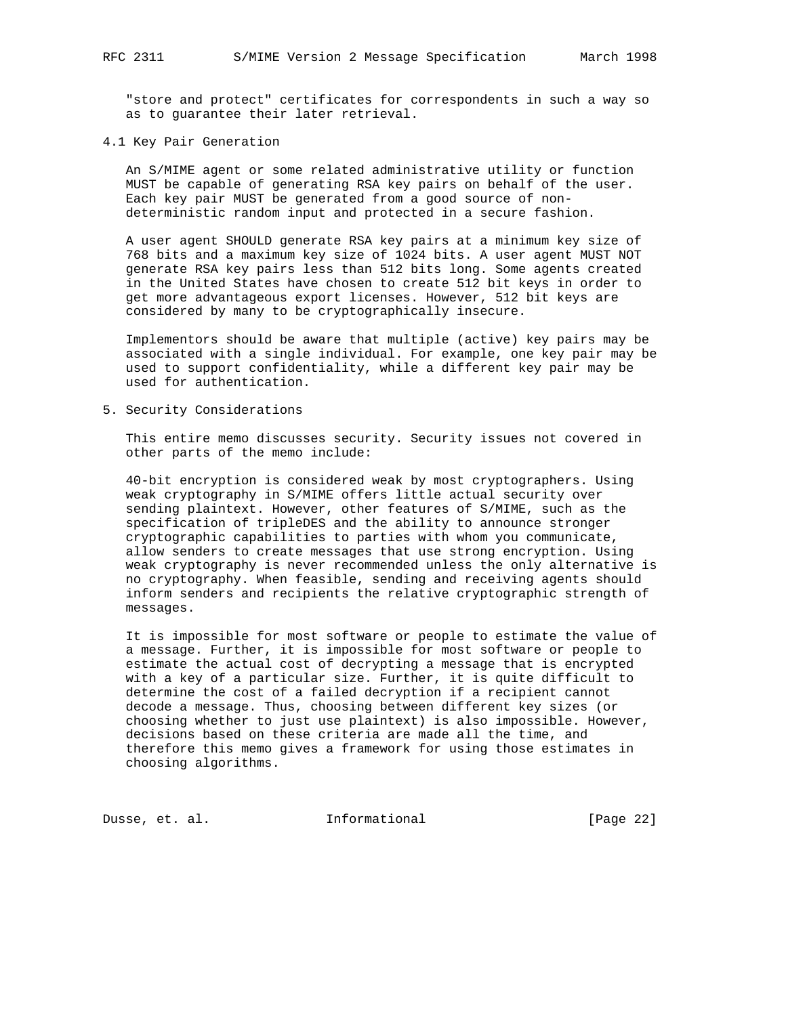"store and protect" certificates for correspondents in such a way so as to guarantee their later retrieval.

#### 4.1 Key Pair Generation

 An S/MIME agent or some related administrative utility or function MUST be capable of generating RSA key pairs on behalf of the user. Each key pair MUST be generated from a good source of non deterministic random input and protected in a secure fashion.

 A user agent SHOULD generate RSA key pairs at a minimum key size of 768 bits and a maximum key size of 1024 bits. A user agent MUST NOT generate RSA key pairs less than 512 bits long. Some agents created in the United States have chosen to create 512 bit keys in order to get more advantageous export licenses. However, 512 bit keys are considered by many to be cryptographically insecure.

 Implementors should be aware that multiple (active) key pairs may be associated with a single individual. For example, one key pair may be used to support confidentiality, while a different key pair may be used for authentication.

5. Security Considerations

 This entire memo discusses security. Security issues not covered in other parts of the memo include:

 40-bit encryption is considered weak by most cryptographers. Using weak cryptography in S/MIME offers little actual security over sending plaintext. However, other features of S/MIME, such as the specification of tripleDES and the ability to announce stronger cryptographic capabilities to parties with whom you communicate, allow senders to create messages that use strong encryption. Using weak cryptography is never recommended unless the only alternative is no cryptography. When feasible, sending and receiving agents should inform senders and recipients the relative cryptographic strength of messages.

 It is impossible for most software or people to estimate the value of a message. Further, it is impossible for most software or people to estimate the actual cost of decrypting a message that is encrypted with a key of a particular size. Further, it is quite difficult to determine the cost of a failed decryption if a recipient cannot decode a message. Thus, choosing between different key sizes (or choosing whether to just use plaintext) is also impossible. However, decisions based on these criteria are made all the time, and therefore this memo gives a framework for using those estimates in choosing algorithms.

Dusse, et. al. **Informational** [Page 22]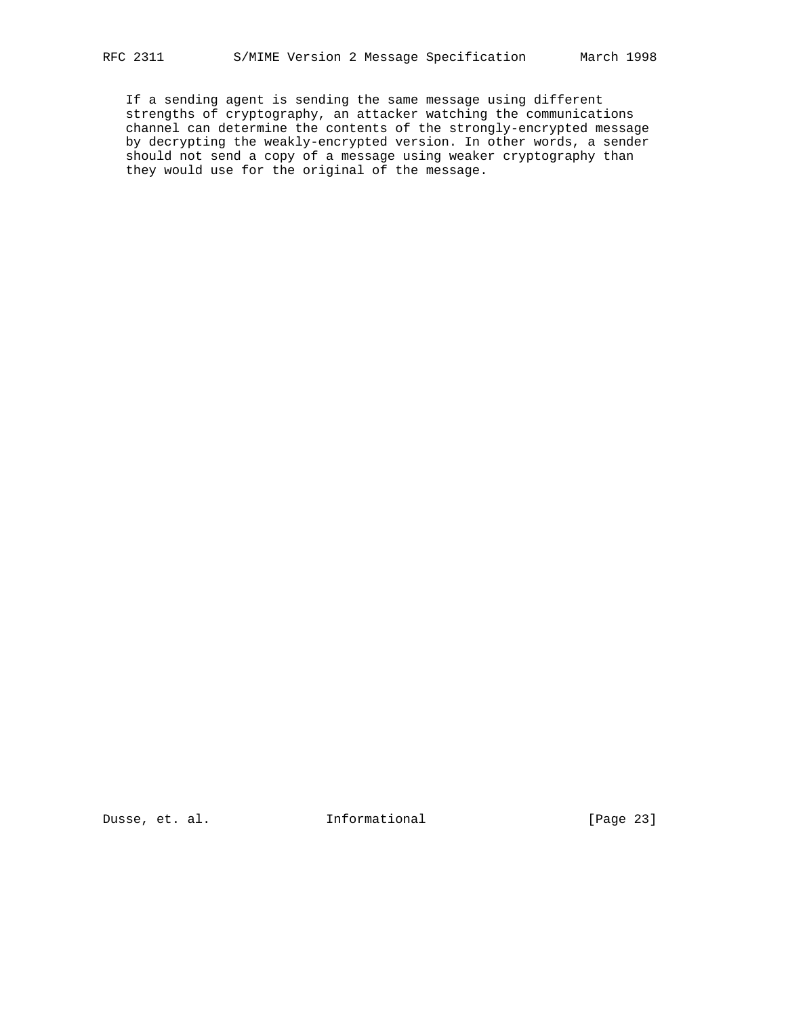If a sending agent is sending the same message using different strengths of cryptography, an attacker watching the communications channel can determine the contents of the strongly-encrypted message by decrypting the weakly-encrypted version. In other words, a sender should not send a copy of a message using weaker cryptography than they would use for the original of the message.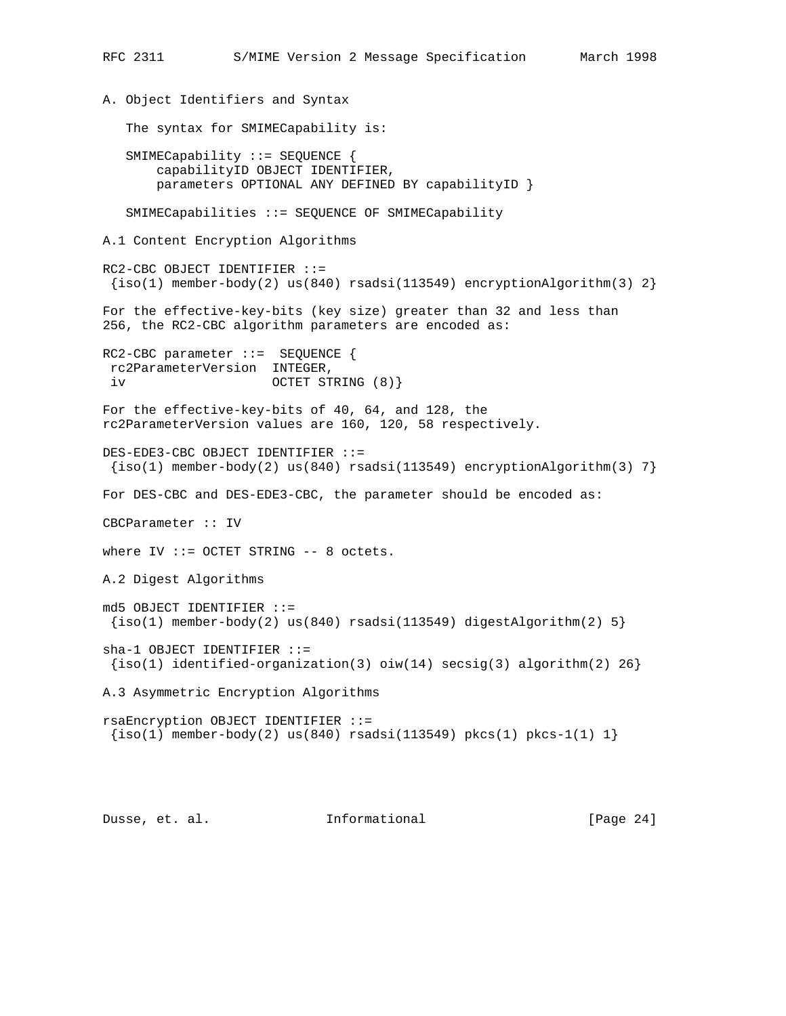```
RFC 2311 S/MIME Version 2 Message Specification March 1998
A. Object Identifiers and Syntax
    The syntax for SMIMECapability is:
    SMIMECapability ::= SEQUENCE {
       capabilityID OBJECT IDENTIFIER,
       parameters OPTIONAL ANY DEFINED BY capabilityID }
    SMIMECapabilities ::= SEQUENCE OF SMIMECapability
A.1 Content Encryption Algorithms
RC2-CBC OBJECT IDENTIFIER ::=
 \{iso(1) member-body(2) us(840) rsadsi(113549) encryptionAlgorithm(3) 2}
For the effective-key-bits (key size) greater than 32 and less than
256, the RC2-CBC algorithm parameters are encoded as:
RC2-CBC parameter ::= SEQUENCE {
 rc2ParameterVersion INTEGER,
 iv OCTET STRING (8)}
For the effective-key-bits of 40, 64, and 128, the
rc2ParameterVersion values are 160, 120, 58 respectively.
DES-EDE3-CBC OBJECT IDENTIFIER ::=
\{iso(1) member-body(2) us(840) rsadsi(113549) encryptionAlgorithm(3) 7}
For DES-CBC and DES-EDE3-CBC, the parameter should be encoded as:
CBCParameter :: IV
where IV ::= OCTET STRING -- 8 octets.
A.2 Digest Algorithms
md5 OBJECT IDENTIFIER ::=
 \{iso(1) member-body(2) us(840) rsadsi(113549) digestAlgorithm(2) 5}
sha-1 OBJECT IDENTIFIER ::=
{s(1) identified-organization(3) oiw(14) secsig(3) algorithm(2) 26}
A.3 Asymmetric Encryption Algorithms
rsaEncryption OBJECT IDENTIFIER ::=
\{iso(1) member-body(2) us(840) rsadsi(113549) pkcs(1) pkcs-1(1) 1}
```
Dusse, et. al. **Informational** [Page 24]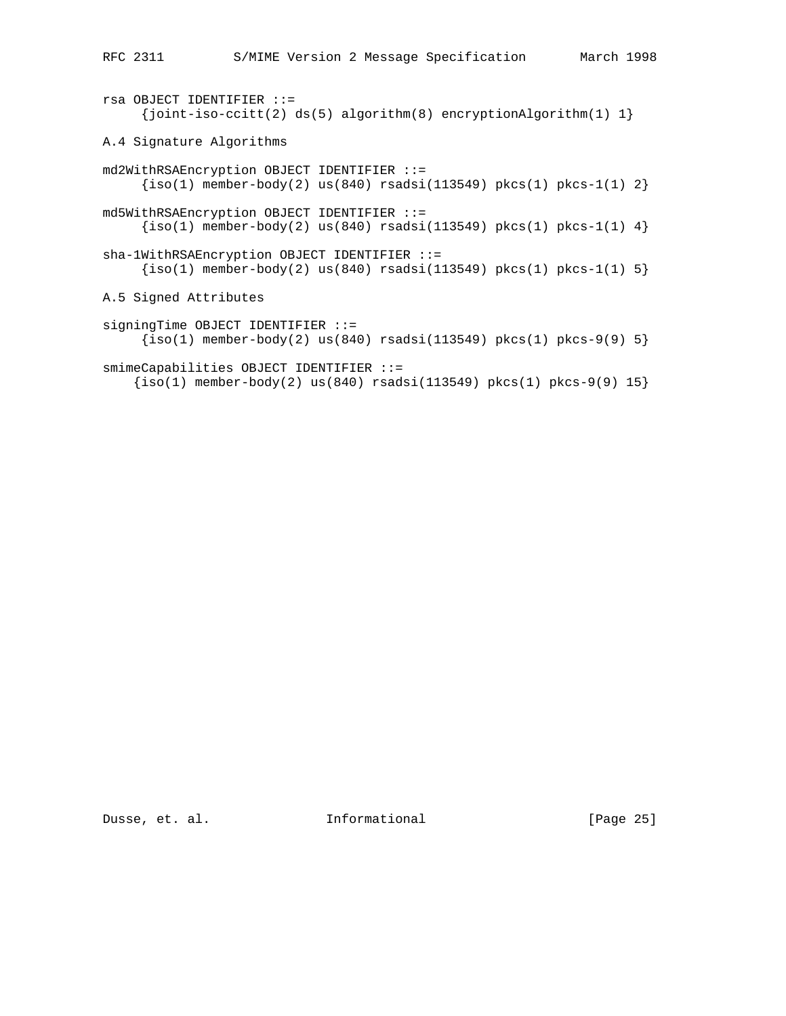```
rsa OBJECT IDENTIFIER ::=
     \{joint-iso-ccitt(2) ds(5) algorithm(8) encryptionAlgorithm(1) 1\}A.4 Signature Algorithms
md2WithRSAEncryption OBJECT IDENTIFIER ::=
     \{iso(1) member-body(2) us(840) rsadsi(113549) pkcs(1) pkcs-1(1) 2\}md5WithRSAEncryption OBJECT IDENTIFIER ::=
     \{iso(1) member-body(2) us(840) rsadsi(113549) pkcs(1) pkcs-1(1) 4\}sha-1WithRSAEncryption OBJECT IDENTIFIER ::=
     \{iso(1) member-body(2) us(840) rsadsi(113549) pkcs(1) pkcs-1(1) 5\}A.5 Signed Attributes
signingTime OBJECT IDENTIFIER ::=
     \{iso(1) member-body(2) us(840) rsadsi(113549) pkcs(1) pkcs-9(9) 5}
smimeCapabilities OBJECT IDENTIFIER ::=
    \{iso(1) member-body(2) us(840) rsadsi(113549) pkcs(1) pkcs-9(9) 15\}
```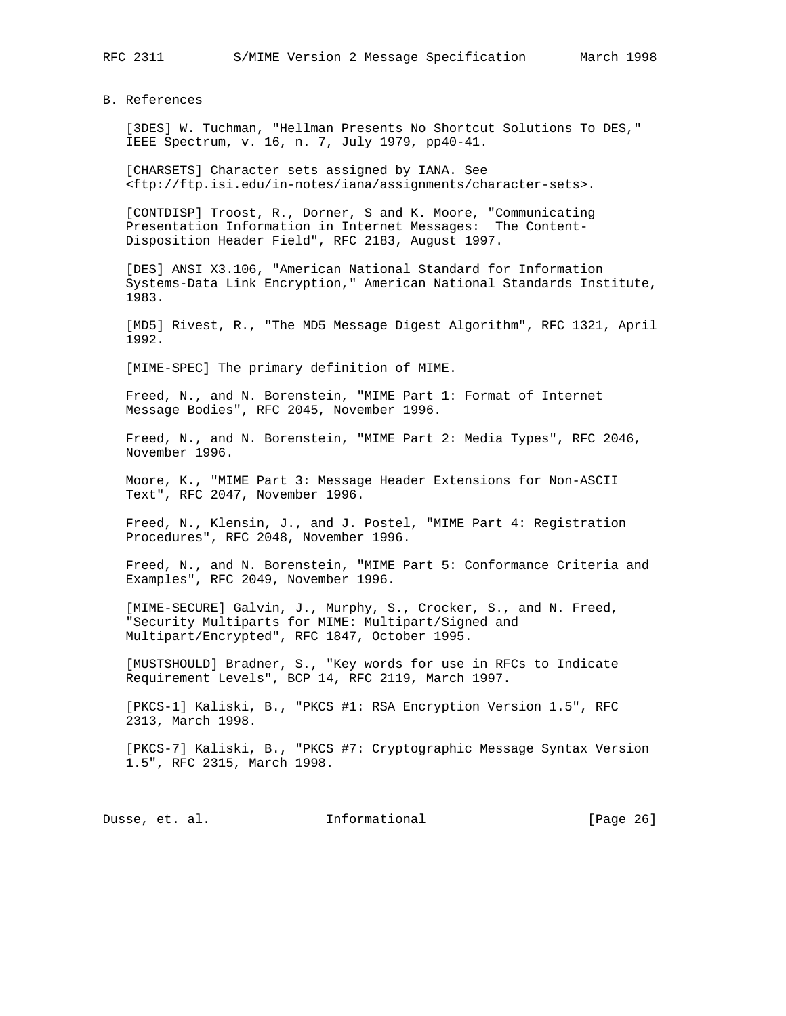B. References

 [3DES] W. Tuchman, "Hellman Presents No Shortcut Solutions To DES," IEEE Spectrum, v. 16, n. 7, July 1979, pp40-41.

 [CHARSETS] Character sets assigned by IANA. See <ftp://ftp.isi.edu/in-notes/iana/assignments/character-sets>.

 [CONTDISP] Troost, R., Dorner, S and K. Moore, "Communicating Presentation Information in Internet Messages: The Content- Disposition Header Field", RFC 2183, August 1997.

 [DES] ANSI X3.106, "American National Standard for Information Systems-Data Link Encryption," American National Standards Institute, 1983.

 [MD5] Rivest, R., "The MD5 Message Digest Algorithm", RFC 1321, April 1992.

[MIME-SPEC] The primary definition of MIME.

 Freed, N., and N. Borenstein, "MIME Part 1: Format of Internet Message Bodies", RFC 2045, November 1996.

 Freed, N., and N. Borenstein, "MIME Part 2: Media Types", RFC 2046, November 1996.

 Moore, K., "MIME Part 3: Message Header Extensions for Non-ASCII Text", RFC 2047, November 1996.

 Freed, N., Klensin, J., and J. Postel, "MIME Part 4: Registration Procedures", RFC 2048, November 1996.

 Freed, N., and N. Borenstein, "MIME Part 5: Conformance Criteria and Examples", RFC 2049, November 1996.

 [MIME-SECURE] Galvin, J., Murphy, S., Crocker, S., and N. Freed, "Security Multiparts for MIME: Multipart/Signed and Multipart/Encrypted", RFC 1847, October 1995.

 [MUSTSHOULD] Bradner, S., "Key words for use in RFCs to Indicate Requirement Levels", BCP 14, RFC 2119, March 1997.

 [PKCS-1] Kaliski, B., "PKCS #1: RSA Encryption Version 1.5", RFC 2313, March 1998.

 [PKCS-7] Kaliski, B., "PKCS #7: Cryptographic Message Syntax Version 1.5", RFC 2315, March 1998.

Dusse, et. al. 1nformational 1999 [Page 26]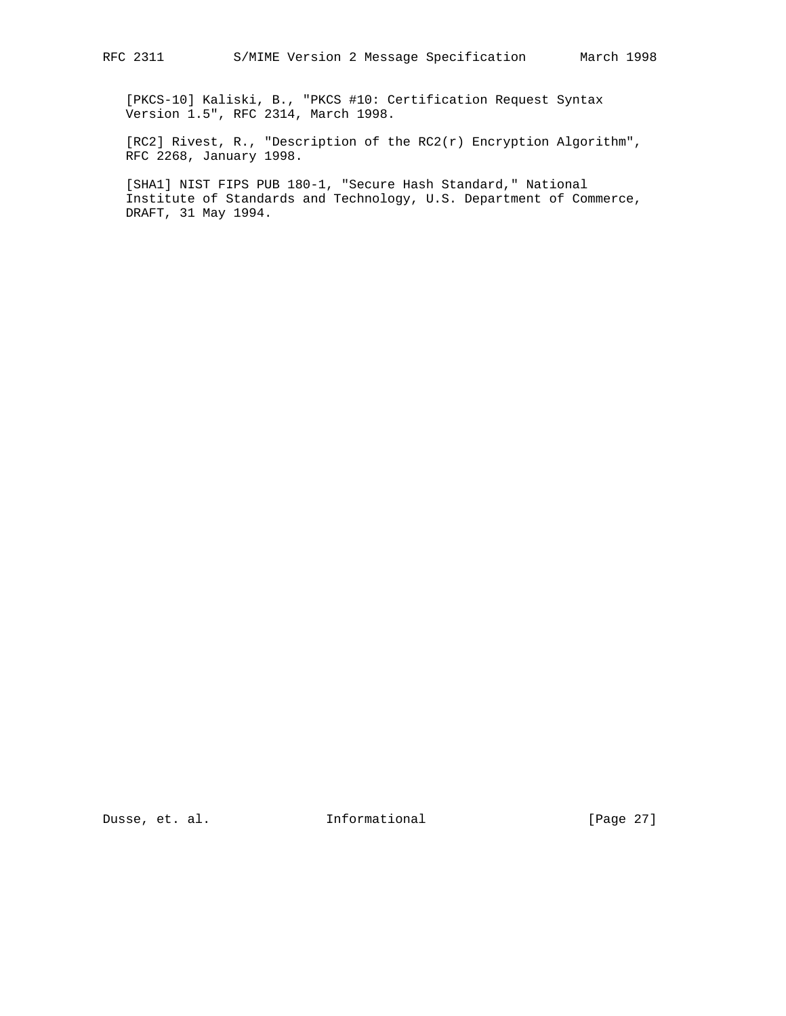[PKCS-10] Kaliski, B., "PKCS #10: Certification Request Syntax Version 1.5", RFC 2314, March 1998.

 [RC2] Rivest, R., "Description of the RC2(r) Encryption Algorithm", RFC 2268, January 1998.

 [SHA1] NIST FIPS PUB 180-1, "Secure Hash Standard," National Institute of Standards and Technology, U.S. Department of Commerce, DRAFT, 31 May 1994.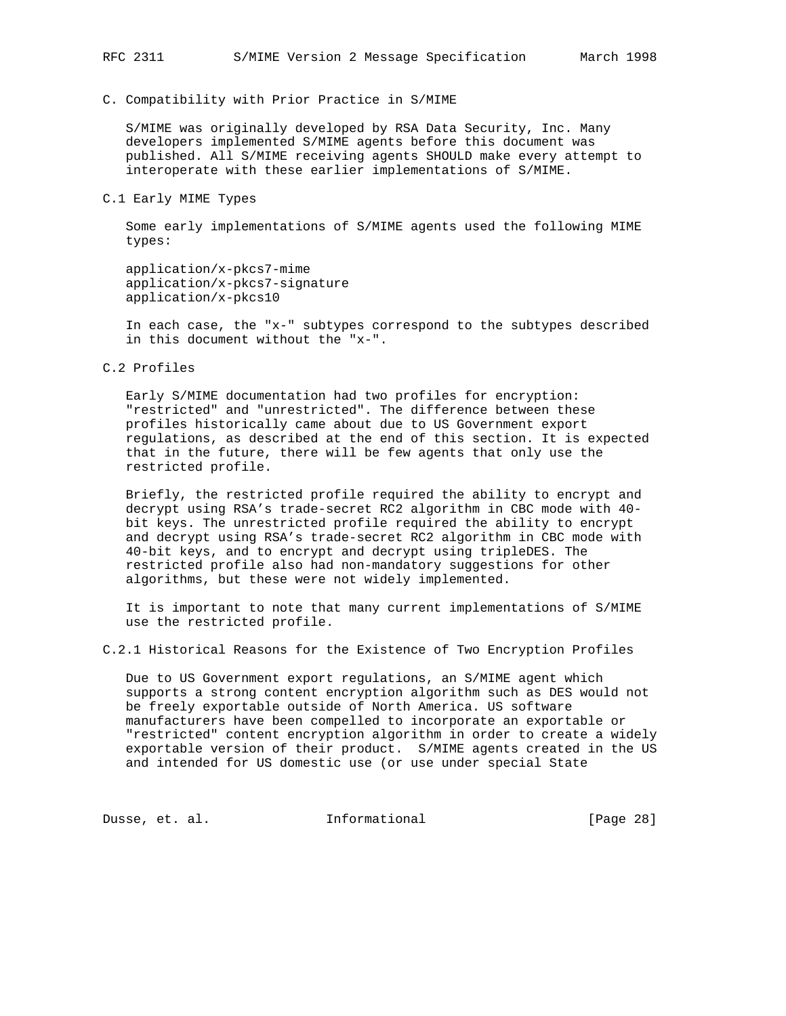## C. Compatibility with Prior Practice in S/MIME

 S/MIME was originally developed by RSA Data Security, Inc. Many developers implemented S/MIME agents before this document was published. All S/MIME receiving agents SHOULD make every attempt to interoperate with these earlier implementations of S/MIME.

#### C.1 Early MIME Types

 Some early implementations of S/MIME agents used the following MIME types:

 application/x-pkcs7-mime application/x-pkcs7-signature application/x-pkcs10

 In each case, the "x-" subtypes correspond to the subtypes described in this document without the "x-".

# C.2 Profiles

 Early S/MIME documentation had two profiles for encryption: "restricted" and "unrestricted". The difference between these profiles historically came about due to US Government export regulations, as described at the end of this section. It is expected that in the future, there will be few agents that only use the restricted profile.

 Briefly, the restricted profile required the ability to encrypt and decrypt using RSA's trade-secret RC2 algorithm in CBC mode with 40 bit keys. The unrestricted profile required the ability to encrypt and decrypt using RSA's trade-secret RC2 algorithm in CBC mode with 40-bit keys, and to encrypt and decrypt using tripleDES. The restricted profile also had non-mandatory suggestions for other algorithms, but these were not widely implemented.

 It is important to note that many current implementations of S/MIME use the restricted profile.

C.2.1 Historical Reasons for the Existence of Two Encryption Profiles

 Due to US Government export regulations, an S/MIME agent which supports a strong content encryption algorithm such as DES would not be freely exportable outside of North America. US software manufacturers have been compelled to incorporate an exportable or "restricted" content encryption algorithm in order to create a widely exportable version of their product. S/MIME agents created in the US and intended for US domestic use (or use under special State

Dusse, et. al. 1nformational 1999 [Page 28]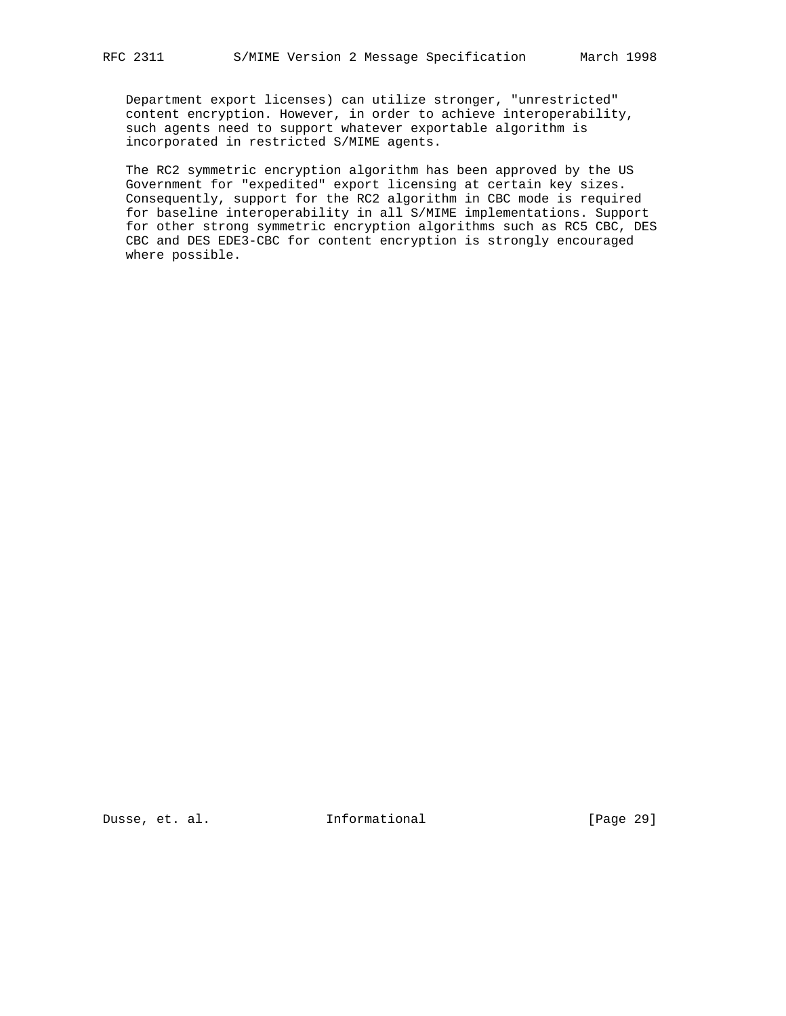Department export licenses) can utilize stronger, "unrestricted" content encryption. However, in order to achieve interoperability, such agents need to support whatever exportable algorithm is incorporated in restricted S/MIME agents.

 The RC2 symmetric encryption algorithm has been approved by the US Government for "expedited" export licensing at certain key sizes. Consequently, support for the RC2 algorithm in CBC mode is required for baseline interoperability in all S/MIME implementations. Support for other strong symmetric encryption algorithms such as RC5 CBC, DES CBC and DES EDE3-CBC for content encryption is strongly encouraged where possible.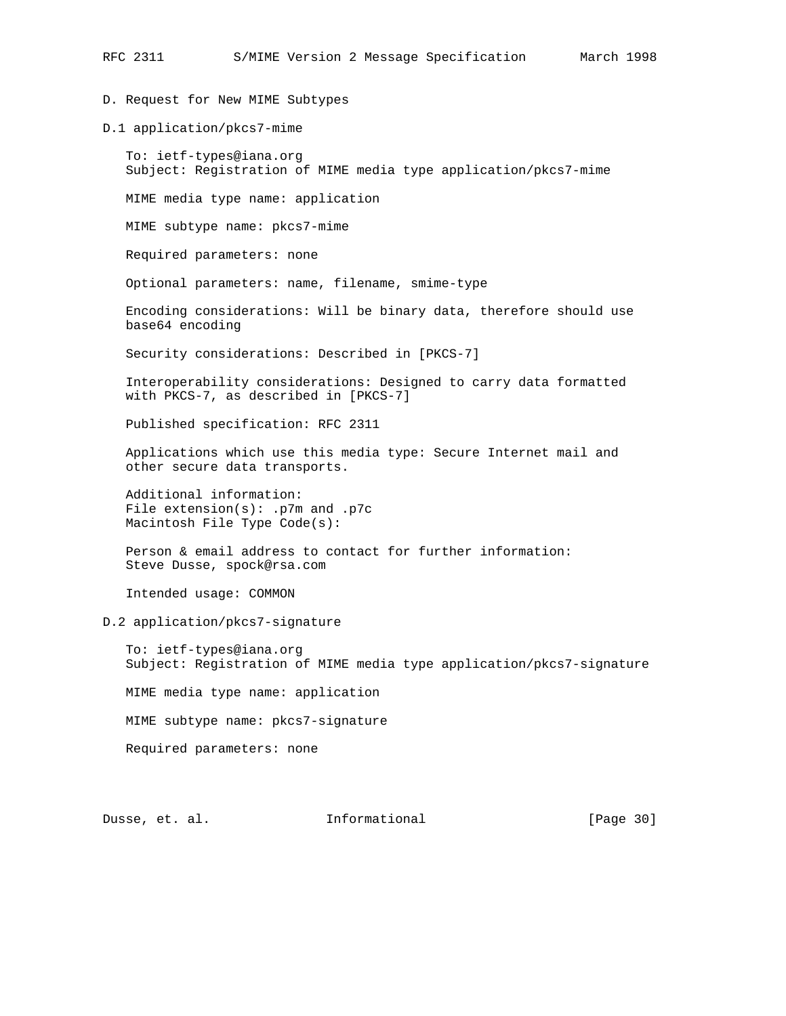D. Request for New MIME Subtypes

D.1 application/pkcs7-mime

 To: ietf-types@iana.org Subject: Registration of MIME media type application/pkcs7-mime

MIME media type name: application

MIME subtype name: pkcs7-mime

Required parameters: none

Optional parameters: name, filename, smime-type

 Encoding considerations: Will be binary data, therefore should use base64 encoding

Security considerations: Described in [PKCS-7]

 Interoperability considerations: Designed to carry data formatted with PKCS-7, as described in [PKCS-7]

Published specification: RFC 2311

 Applications which use this media type: Secure Internet mail and other secure data transports.

 Additional information: File extension(s): .p7m and .p7c Macintosh File Type Code(s):

 Person & email address to contact for further information: Steve Dusse, spock@rsa.com

Intended usage: COMMON

D.2 application/pkcs7-signature

 To: ietf-types@iana.org Subject: Registration of MIME media type application/pkcs7-signature

MIME media type name: application

MIME subtype name: pkcs7-signature

Required parameters: none

Dusse, et. al. **Informational** [Page 30]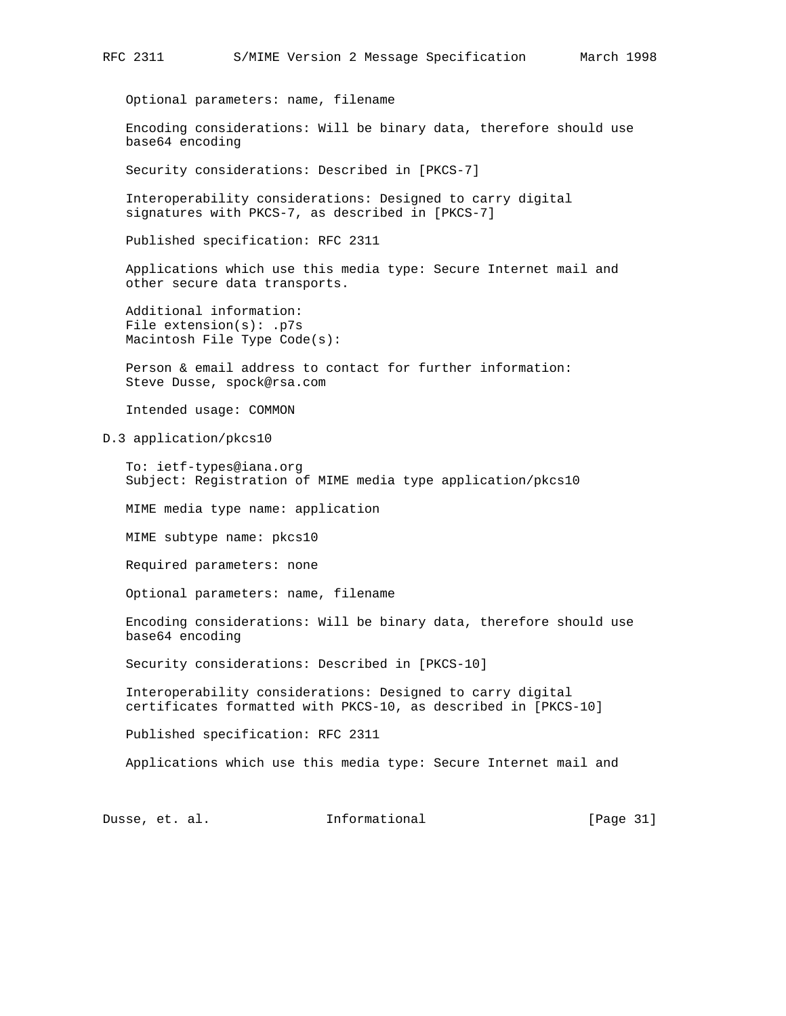Optional parameters: name, filename

 Encoding considerations: Will be binary data, therefore should use base64 encoding

Security considerations: Described in [PKCS-7]

 Interoperability considerations: Designed to carry digital signatures with PKCS-7, as described in [PKCS-7]

Published specification: RFC 2311

 Applications which use this media type: Secure Internet mail and other secure data transports.

 Additional information: File extension(s): .p7s Macintosh File Type Code(s):

 Person & email address to contact for further information: Steve Dusse, spock@rsa.com

Intended usage: COMMON

D.3 application/pkcs10

 To: ietf-types@iana.org Subject: Registration of MIME media type application/pkcs10

MIME media type name: application

MIME subtype name: pkcs10

Required parameters: none

Optional parameters: name, filename

 Encoding considerations: Will be binary data, therefore should use base64 encoding

Security considerations: Described in [PKCS-10]

 Interoperability considerations: Designed to carry digital certificates formatted with PKCS-10, as described in [PKCS-10]

Published specification: RFC 2311

Applications which use this media type: Secure Internet mail and

Dusse, et. al. 1nformational [Page 31]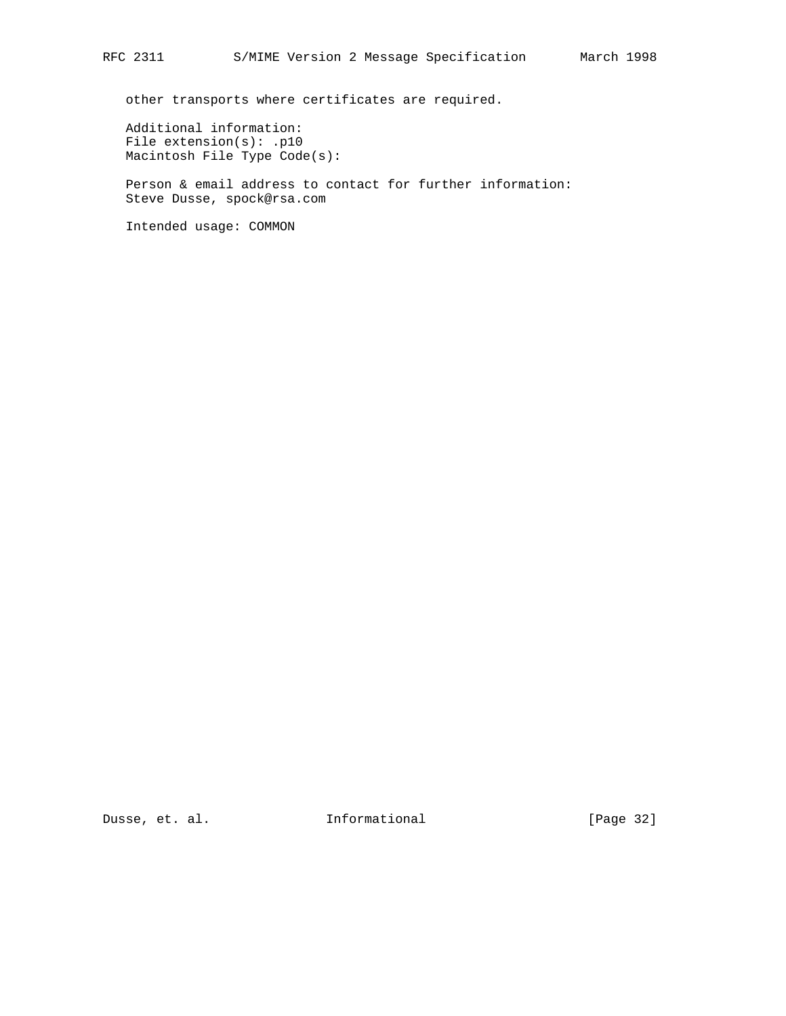other transports where certificates are required.

 Additional information: File extension(s): .p10 Macintosh File Type Code(s):

 Person & email address to contact for further information: Steve Dusse, spock@rsa.com

Intended usage: COMMON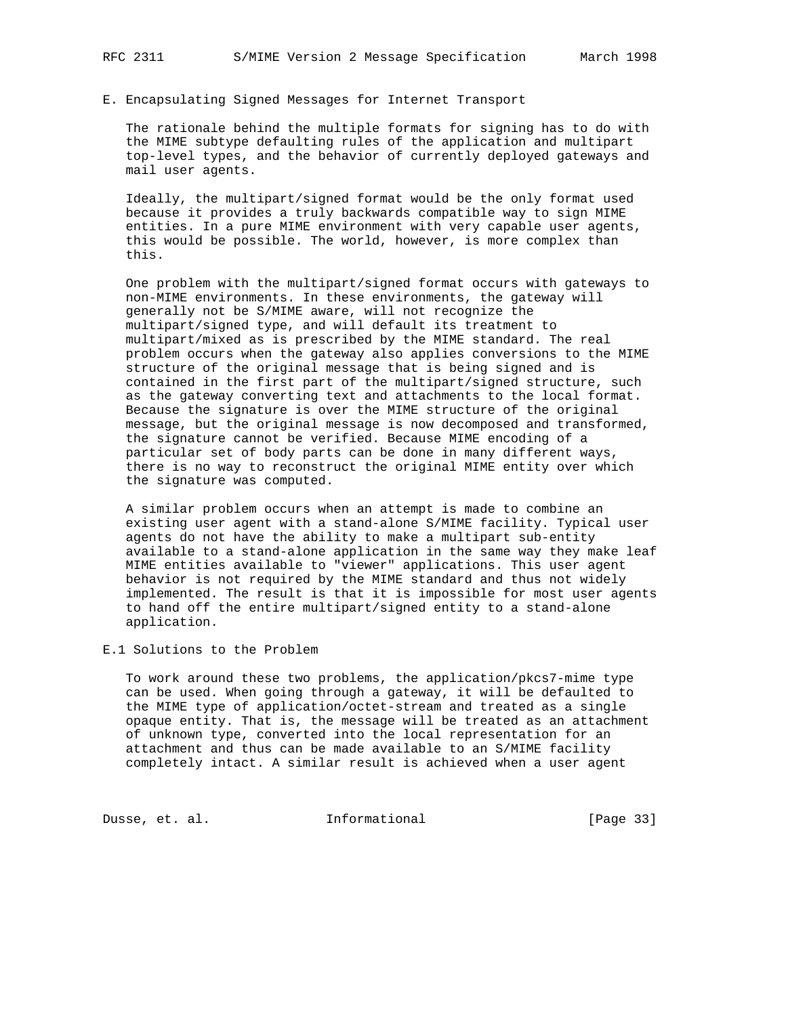### E. Encapsulating Signed Messages for Internet Transport

 The rationale behind the multiple formats for signing has to do with the MIME subtype defaulting rules of the application and multipart top-level types, and the behavior of currently deployed gateways and mail user agents.

 Ideally, the multipart/signed format would be the only format used because it provides a truly backwards compatible way to sign MIME entities. In a pure MIME environment with very capable user agents, this would be possible. The world, however, is more complex than this.

 One problem with the multipart/signed format occurs with gateways to non-MIME environments. In these environments, the gateway will generally not be S/MIME aware, will not recognize the multipart/signed type, and will default its treatment to multipart/mixed as is prescribed by the MIME standard. The real problem occurs when the gateway also applies conversions to the MIME structure of the original message that is being signed and is contained in the first part of the multipart/signed structure, such as the gateway converting text and attachments to the local format. Because the signature is over the MIME structure of the original message, but the original message is now decomposed and transformed, the signature cannot be verified. Because MIME encoding of a particular set of body parts can be done in many different ways, there is no way to reconstruct the original MIME entity over which the signature was computed.

 A similar problem occurs when an attempt is made to combine an existing user agent with a stand-alone S/MIME facility. Typical user agents do not have the ability to make a multipart sub-entity available to a stand-alone application in the same way they make leaf MIME entities available to "viewer" applications. This user agent behavior is not required by the MIME standard and thus not widely implemented. The result is that it is impossible for most user agents to hand off the entire multipart/signed entity to a stand-alone application.

#### E.1 Solutions to the Problem

 To work around these two problems, the application/pkcs7-mime type can be used. When going through a gateway, it will be defaulted to the MIME type of application/octet-stream and treated as a single opaque entity. That is, the message will be treated as an attachment of unknown type, converted into the local representation for an attachment and thus can be made available to an S/MIME facility completely intact. A similar result is achieved when a user agent

Dusse, et. al. 1nformational 111 [Page 33]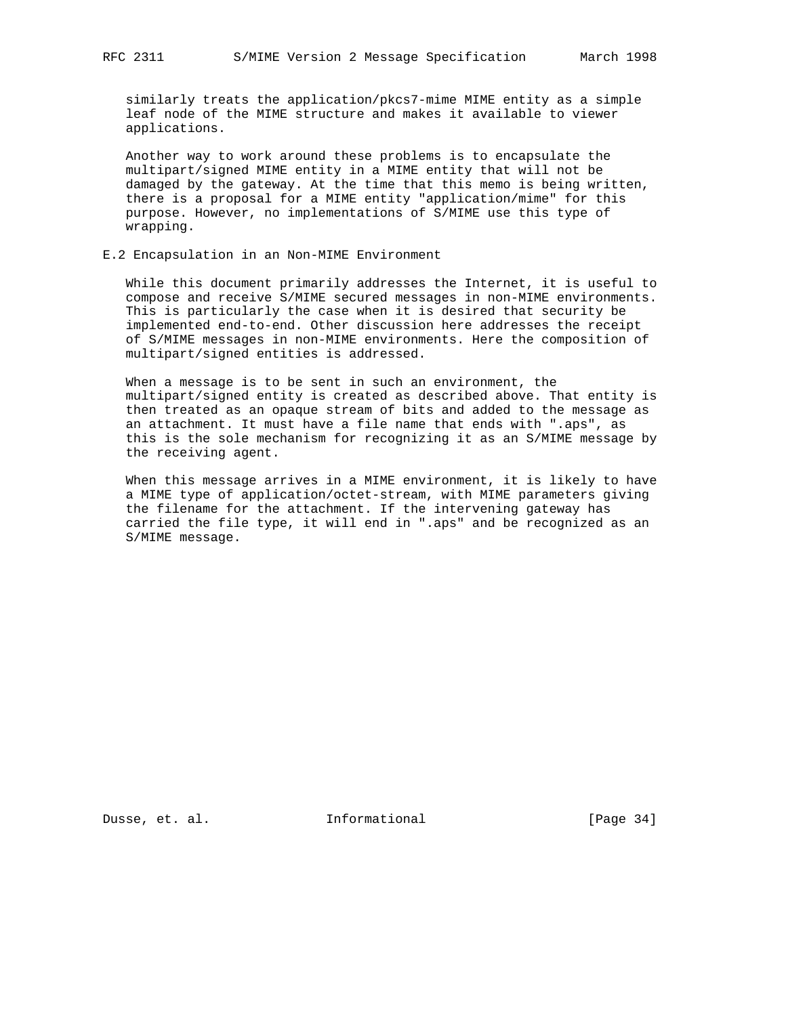similarly treats the application/pkcs7-mime MIME entity as a simple leaf node of the MIME structure and makes it available to viewer applications.

 Another way to work around these problems is to encapsulate the multipart/signed MIME entity in a MIME entity that will not be damaged by the gateway. At the time that this memo is being written, there is a proposal for a MIME entity "application/mime" for this purpose. However, no implementations of S/MIME use this type of wrapping.

#### E.2 Encapsulation in an Non-MIME Environment

 While this document primarily addresses the Internet, it is useful to compose and receive S/MIME secured messages in non-MIME environments. This is particularly the case when it is desired that security be implemented end-to-end. Other discussion here addresses the receipt of S/MIME messages in non-MIME environments. Here the composition of multipart/signed entities is addressed.

 When a message is to be sent in such an environment, the multipart/signed entity is created as described above. That entity is then treated as an opaque stream of bits and added to the message as an attachment. It must have a file name that ends with ".aps", as this is the sole mechanism for recognizing it as an S/MIME message by the receiving agent.

 When this message arrives in a MIME environment, it is likely to have a MIME type of application/octet-stream, with MIME parameters giving the filename for the attachment. If the intervening gateway has carried the file type, it will end in ".aps" and be recognized as an S/MIME message.

Dusse, et. al. **Informational** [Page 34]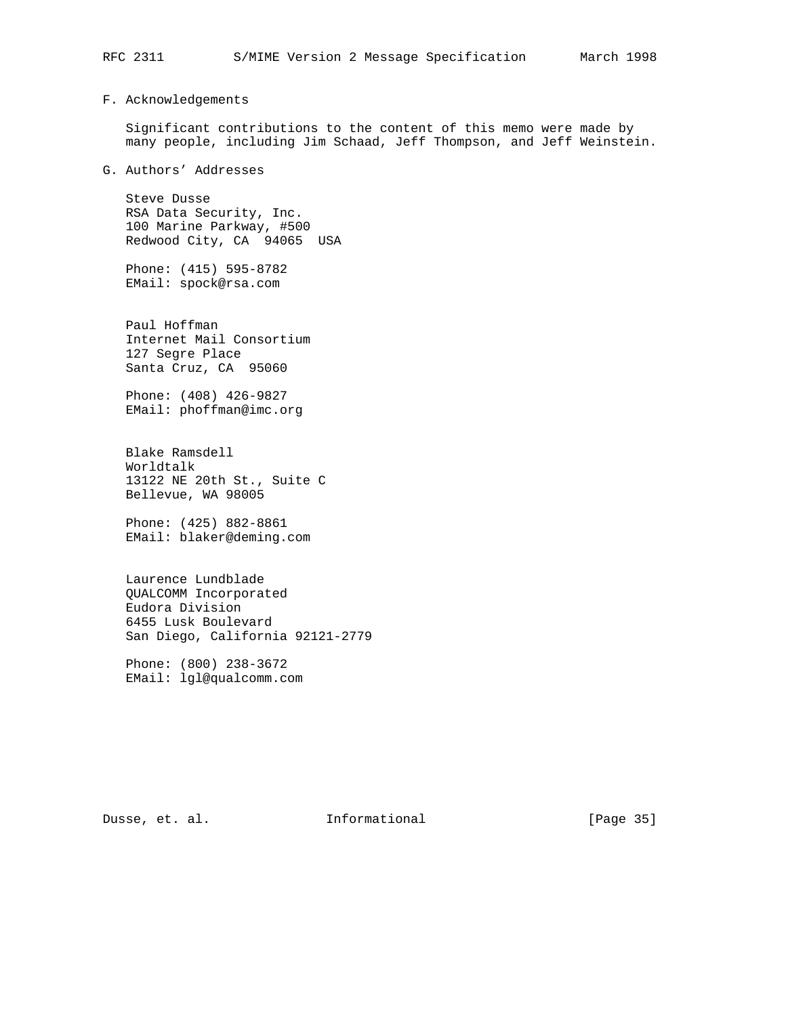## F. Acknowledgements

 Significant contributions to the content of this memo were made by many people, including Jim Schaad, Jeff Thompson, and Jeff Weinstein.

G. Authors' Addresses

 Steve Dusse RSA Data Security, Inc. 100 Marine Parkway, #500 Redwood City, CA 94065 USA

 Phone: (415) 595-8782 EMail: spock@rsa.com

 Paul Hoffman Internet Mail Consortium 127 Segre Place Santa Cruz, CA 95060

 Phone: (408) 426-9827 EMail: phoffman@imc.org

 Blake Ramsdell Worldtalk 13122 NE 20th St., Suite C Bellevue, WA 98005

 Phone: (425) 882-8861 EMail: blaker@deming.com

 Laurence Lundblade QUALCOMM Incorporated Eudora Division 6455 Lusk Boulevard San Diego, California 92121-2779

 Phone: (800) 238-3672 EMail: lgl@qualcomm.com

Dusse, et. al. 10 mm = Informational 100 mm = [Page 35]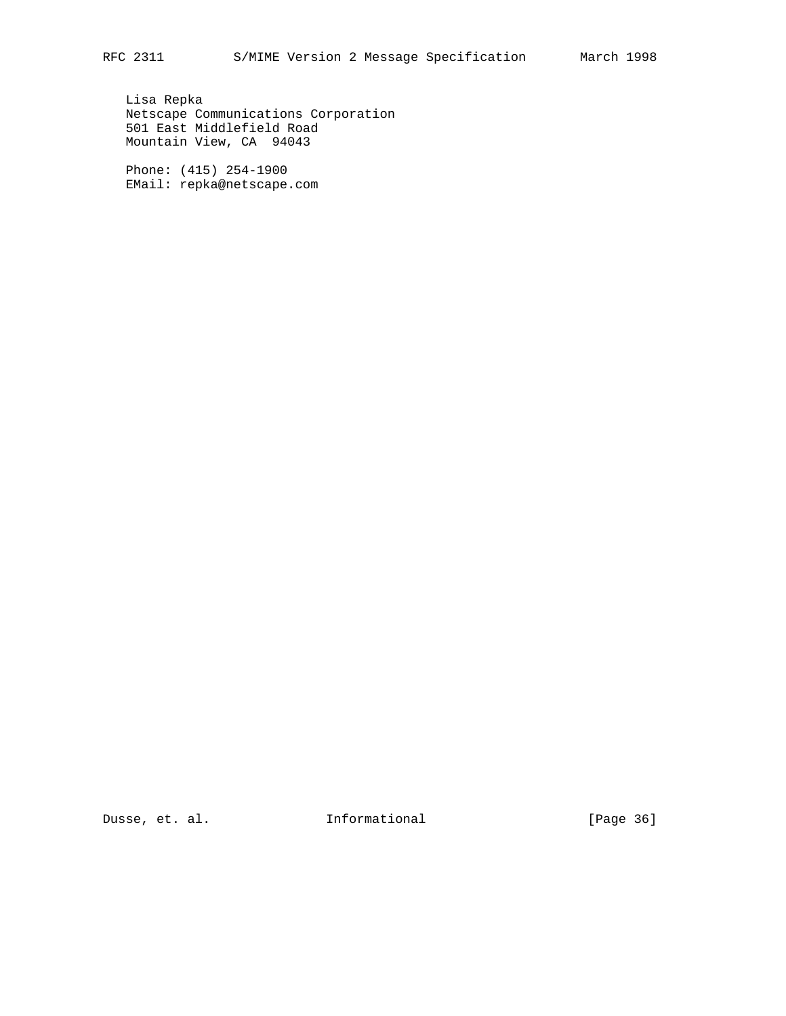Lisa Repka Netscape Communications Corporation 501 East Middlefield Road Mountain View, CA 94043

 Phone: (415) 254-1900 EMail: repka@netscape.com